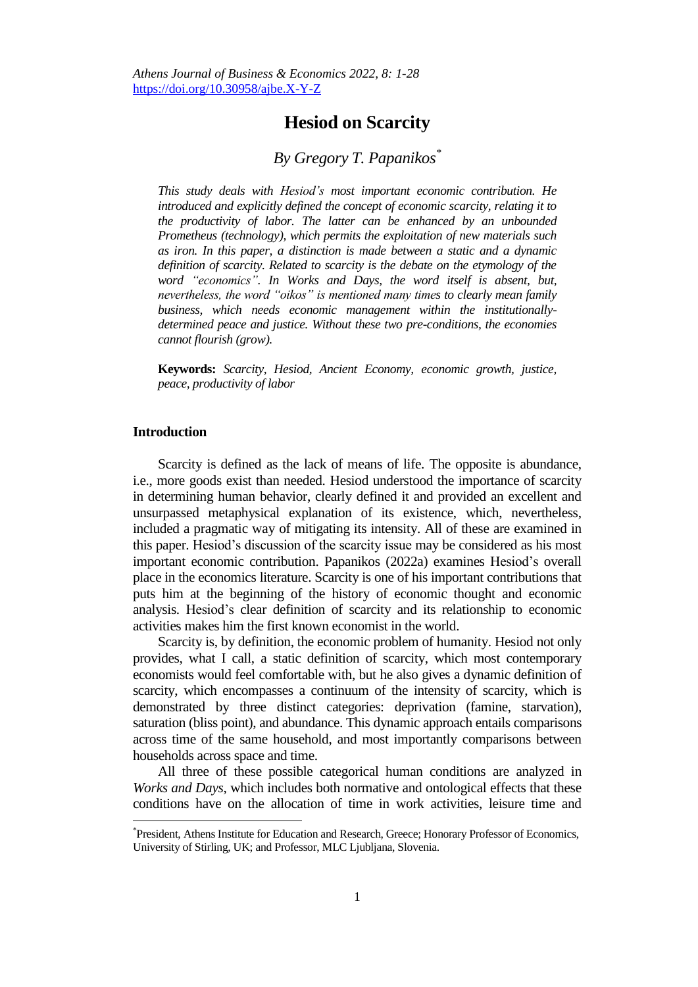# **Hesiod on Scarcity**

# *By Gregory T. Papanikos\**

*This study deals with Hesiod's most important economic contribution. He introduced and explicitly defined the concept of economic scarcity, relating it to the productivity of labor. The latter can be enhanced by an unbounded Prometheus (technology), which permits the exploitation of new materials such as iron. In this paper, a distinction is made between a static and a dynamic definition of scarcity. Related to scarcity is the debate on the etymology of the word "economics". In Works and Days, the word itself is absent, but, nevertheless, the word "oikos" is mentioned many times to clearly mean family business, which needs economic management within the institutionallydetermined peace and justice. Without these two pre-conditions, the economies cannot flourish (grow).* 

**Keywords:** *Scarcity, Hesiod, Ancient Economy, economic growth, justice, peace, productivity of labor*

# **Introduction**

 $\overline{a}$ 

Scarcity is defined as the lack of means of life. The opposite is abundance, i.e., more goods exist than needed. Hesiod understood the importance of scarcity in determining human behavior, clearly defined it and provided an excellent and unsurpassed metaphysical explanation of its existence, which, nevertheless, included a pragmatic way of mitigating its intensity. All of these are examined in this paper. Hesiod's discussion of the scarcity issue may be considered as his most important economic contribution. Papanikos (2022a) examines Hesiod's overall place in the economics literature. Scarcity is one of his important contributions that puts him at the beginning of the history of economic thought and economic analysis. Hesiod's clear definition of scarcity and its relationship to economic activities makes him the first known economist in the world.

Scarcity is, by definition, the economic problem of humanity. Hesiod not only provides, what I call, a static definition of scarcity, which most contemporary economists would feel comfortable with, but he also gives a dynamic definition of scarcity, which encompasses a continuum of the intensity of scarcity, which is demonstrated by three distinct categories: deprivation (famine, starvation), saturation (bliss point), and abundance. This dynamic approach entails comparisons across time of the same household, and most importantly comparisons between households across space and time.

All three of these possible categorical human conditions are analyzed in *Works and Days*, which includes both normative and ontological effects that these conditions have on the allocation of time in work activities, leisure time and

<sup>\*</sup> President, Athens Institute for Education and Research, Greece; Honorary Professor of Economics, University of Stirling, UK; and Professor, MLC Ljubljana, Slovenia.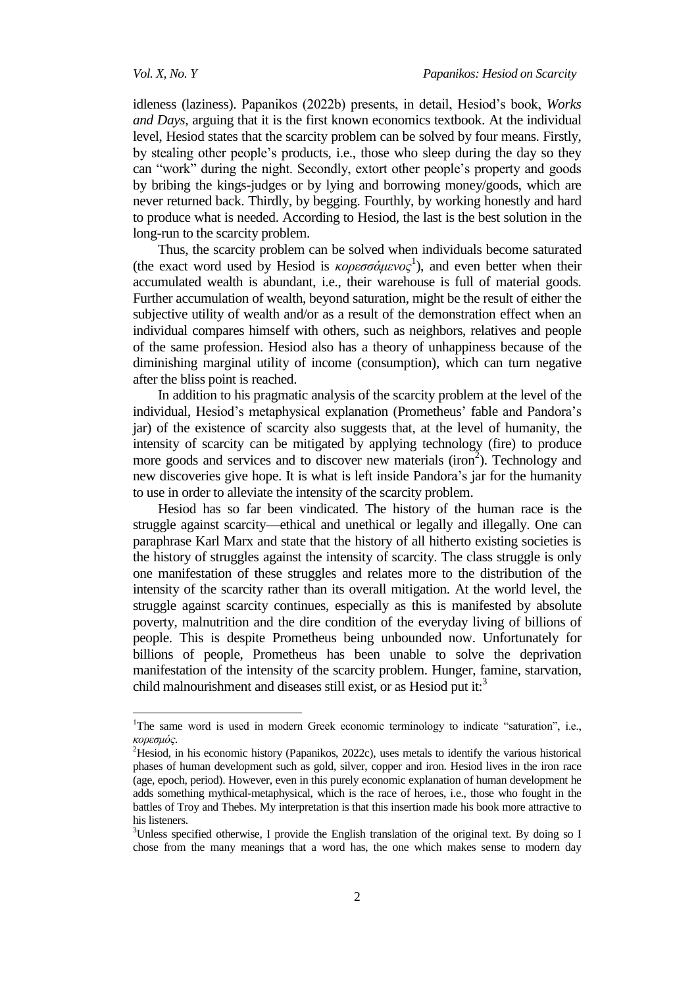$\overline{\phantom{a}}$ 

idleness (laziness). Papanikos (2022b) presents, in detail, Hesiod's book, *Works and Days*, arguing that it is the first known economics textbook. At the individual level, Hesiod states that the scarcity problem can be solved by four means. Firstly, by stealing other people's products, i.e., those who sleep during the day so they can "work" during the night. Secondly, extort other people's property and goods by bribing the kings-judges or by lying and borrowing money/goods, which are never returned back. Thirdly, by begging. Fourthly, by working honestly and hard to produce what is needed. According to Hesiod, the last is the best solution in the long-run to the scarcity problem.

Thus, the scarcity problem can be solved when individuals become saturated (the exact word used by Hesiod is  $\kappa$ ορεσσάμενος<sup>1</sup>), and even better when their accumulated wealth is abundant, i.e., their warehouse is full of material goods. Further accumulation of wealth, beyond saturation, might be the result of either the subjective utility of wealth and/or as a result of the demonstration effect when an individual compares himself with others, such as neighbors, relatives and people of the same profession. Hesiod also has a theory of unhappiness because of the diminishing marginal utility of income (consumption), which can turn negative after the bliss point is reached.

In addition to his pragmatic analysis of the scarcity problem at the level of the individual, Hesiod's metaphysical explanation (Prometheus' fable and Pandora's jar) of the existence of scarcity also suggests that, at the level of humanity, the intensity of scarcity can be mitigated by applying technology (fire) to produce more goods and services and to discover new materials  $(i\text{ron}^2)$ . Technology and new discoveries give hope. It is what is left inside Pandora's jar for the humanity to use in order to alleviate the intensity of the scarcity problem.

Hesiod has so far been vindicated. The history of the human race is the struggle against scarcity—ethical and unethical or legally and illegally. One can paraphrase Karl Marx and state that the history of all hitherto existing societies is the history of struggles against the intensity of scarcity. The class struggle is only one manifestation of these struggles and relates more to the distribution of the intensity of the scarcity rather than its overall mitigation. At the world level, the struggle against scarcity continues, especially as this is manifested by absolute poverty, malnutrition and the dire condition of the everyday living of billions of people. This is despite Prometheus being unbounded now. Unfortunately for billions of people, Prometheus has been unable to solve the deprivation manifestation of the intensity of the scarcity problem. Hunger, famine, starvation, child malnourishment and diseases still exist, or as Hesiod put it:<sup>3</sup>

<sup>&</sup>lt;sup>1</sup>The same word is used in modern Greek economic terminology to indicate "saturation", i.e., *κοπεζμόρ*.

<sup>&</sup>lt;sup>2</sup>Hesiod, in his economic history (Papanikos, 2022c), uses metals to identify the various historical phases of human development such as gold, silver, copper and iron. Hesiod lives in the iron race (age, epoch, period). However, even in this purely economic explanation of human development he adds something mythical-metaphysical, which is the race of heroes, i.e., those who fought in the battles of Troy and Thebes. My interpretation is that this insertion made his book more attractive to his listeners.

<sup>&</sup>lt;sup>3</sup>Unless specified otherwise, I provide the English translation of the original text. By doing so I chose from the many meanings that a word has, the one which makes sense to modern day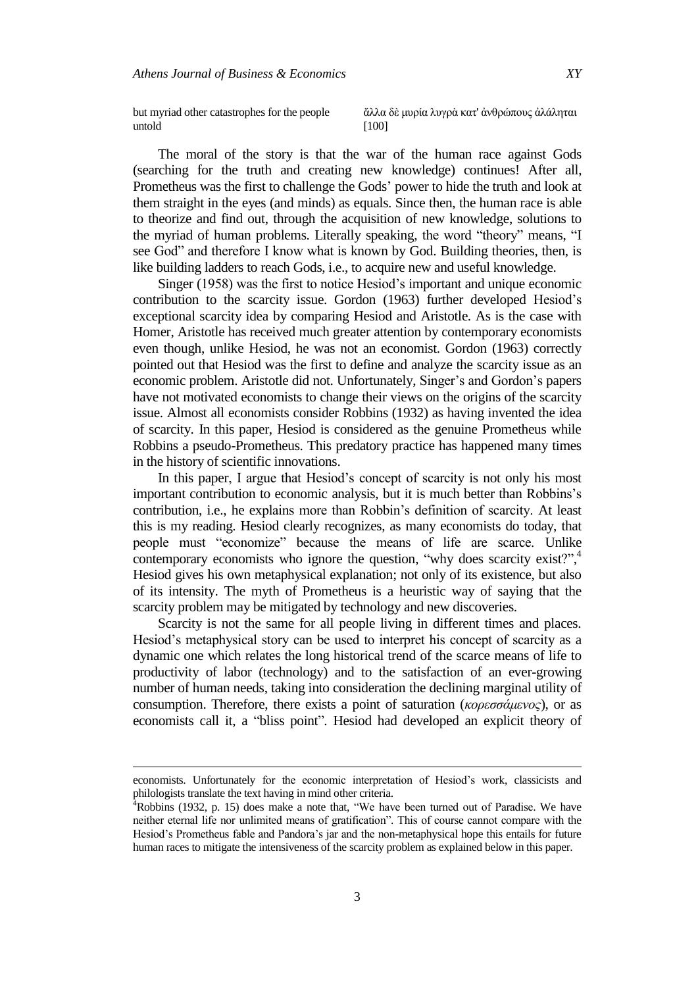but myriad other catastrophes for the people untold

άλλα δὲ μυρία λυγρὰ κατ' ἀνθρώπους ἀλάληται [100]

The moral of the story is that the war of the human race against Gods (searching for the truth and creating new knowledge) continues! After all, Prometheus was the first to challenge the Gods' power to hide the truth and look at them straight in the eyes (and minds) as equals. Since then, the human race is able to theorize and find out, through the acquisition of new knowledge, solutions to the myriad of human problems. Literally speaking, the word "theory" means, "I see God" and therefore I know what is known by God. Building theories, then, is like building ladders to reach Gods, i.e., to acquire new and useful knowledge.

Singer (1958) was the first to notice Hesiod's important and unique economic contribution to the scarcity issue. Gordon (1963) further developed Hesiod's exceptional scarcity idea by comparing Hesiod and Aristotle. As is the case with Homer, Aristotle has received much greater attention by contemporary economists even though, unlike Hesiod, he was not an economist. Gordon (1963) correctly pointed out that Hesiod was the first to define and analyze the scarcity issue as an economic problem. Aristotle did not. Unfortunately, Singer's and Gordon's papers have not motivated economists to change their views on the origins of the scarcity issue. Almost all economists consider Robbins (1932) as having invented the idea of scarcity. In this paper, Hesiod is considered as the genuine Prometheus while Robbins a pseudo-Prometheus. This predatory practice has happened many times in the history of scientific innovations.

In this paper, I argue that Hesiod's concept of scarcity is not only his most important contribution to economic analysis, but it is much better than Robbins's contribution, i.e., he explains more than Robbin's definition of scarcity. At least this is my reading. Hesiod clearly recognizes, as many economists do today, that people must "economize" because the means of life are scarce. Unlike contemporary economists who ignore the question, "why does scarcity exist?", $4$ Hesiod gives his own metaphysical explanation; not only of its existence, but also of its intensity. The myth of Prometheus is a heuristic way of saying that the scarcity problem may be mitigated by technology and new discoveries.

Scarcity is not the same for all people living in different times and places. Hesiod's metaphysical story can be used to interpret his concept of scarcity as a dynamic one which relates the long historical trend of the scarce means of life to productivity of labor (technology) and to the satisfaction of an ever-growing number of human needs, taking into consideration the declining marginal utility of consumption. Therefore, there exists a point of saturation (*κορεσσάμενος*), or as economists call it, a "bliss point". Hesiod had developed an explicit theory of

 $\overline{a}$ 

economists. Unfortunately for the economic interpretation of Hesiod's work, classicists and philologists translate the text having in mind other criteria.

 $4Robbins$  (1932, p. 15) does make a note that, "We have been turned out of Paradise. We have neither eternal life nor unlimited means of gratification". This of course cannot compare with the Hesiod's Prometheus fable and Pandora's jar and the non-metaphysical hope this entails for future human races to mitigate the intensiveness of the scarcity problem as explained below in this paper.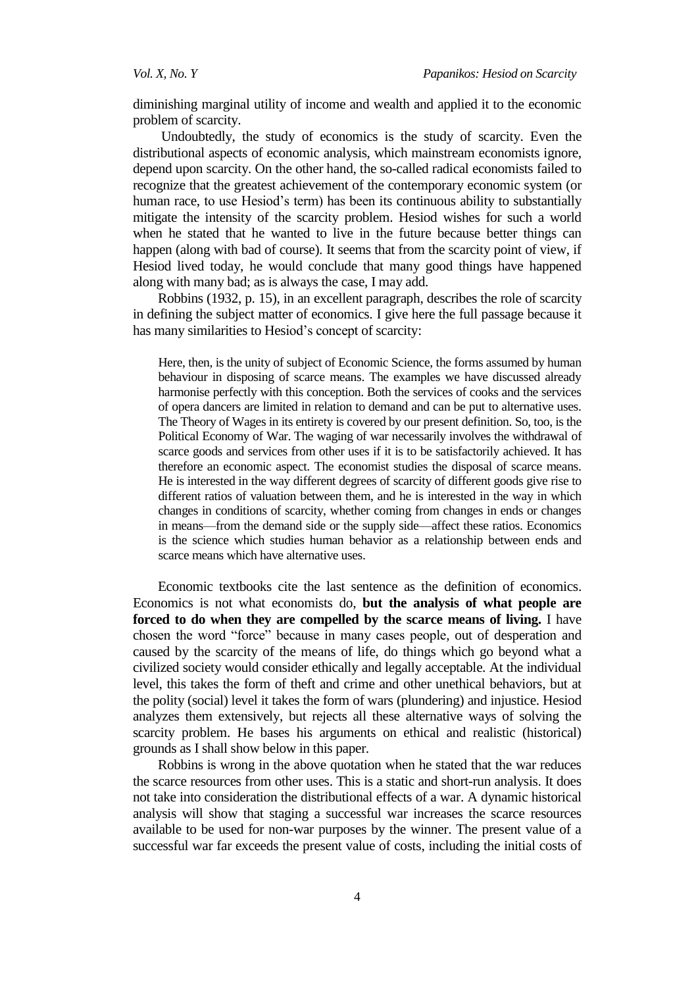diminishing marginal utility of income and wealth and applied it to the economic problem of scarcity.

Undoubtedly, the study of economics is the study of scarcity. Even the distributional aspects of economic analysis, which mainstream economists ignore, depend upon scarcity. On the other hand, the so-called radical economists failed to recognize that the greatest achievement of the contemporary economic system (or human race, to use Hesiod's term) has been its continuous ability to substantially mitigate the intensity of the scarcity problem. Hesiod wishes for such a world when he stated that he wanted to live in the future because better things can happen (along with bad of course). It seems that from the scarcity point of view, if Hesiod lived today, he would conclude that many good things have happened along with many bad; as is always the case, I may add.

Robbins (1932, p. 15), in an excellent paragraph, describes the role of scarcity in defining the subject matter of economics. I give here the full passage because it has many similarities to Hesiod's concept of scarcity:

Here, then, is the unity of subject of Economic Science, the forms assumed by human behaviour in disposing of scarce means. The examples we have discussed already harmonise perfectly with this conception. Both the services of cooks and the services of opera dancers are limited in relation to demand and can be put to alternative uses. The Theory of Wages in its entirety is covered by our present definition. So, too, is the Political Economy of War. The waging of war necessarily involves the withdrawal of scarce goods and services from other uses if it is to be satisfactorily achieved. It has therefore an economic aspect. The economist studies the disposal of scarce means. He is interested in the way different degrees of scarcity of different goods give rise to different ratios of valuation between them, and he is interested in the way in which changes in conditions of scarcity, whether coming from changes in ends or changes in means—from the demand side or the supply side—affect these ratios. Economics is the science which studies human behavior as a relationship between ends and scarce means which have alternative uses.

Economic textbooks cite the last sentence as the definition of economics. Economics is not what economists do, **but the analysis of what people are forced to do when they are compelled by the scarce means of living.** I have chosen the word "force" because in many cases people, out of desperation and caused by the scarcity of the means of life, do things which go beyond what a civilized society would consider ethically and legally acceptable. At the individual level, this takes the form of theft and crime and other unethical behaviors, but at the polity (social) level it takes the form of wars (plundering) and injustice. Hesiod analyzes them extensively, but rejects all these alternative ways of solving the scarcity problem. He bases his arguments on ethical and realistic (historical) grounds as I shall show below in this paper.

Robbins is wrong in the above quotation when he stated that the war reduces the scarce resources from other uses. This is a static and short-run analysis. It does not take into consideration the distributional effects of a war. A dynamic historical analysis will show that staging a successful war increases the scarce resources available to be used for non-war purposes by the winner. The present value of a successful war far exceeds the present value of costs, including the initial costs of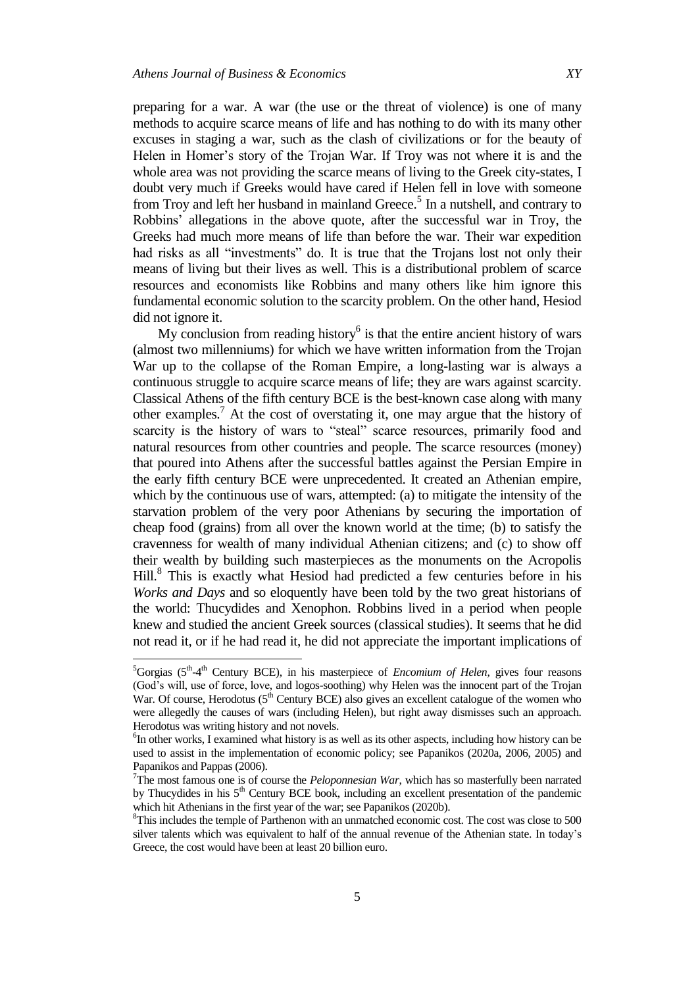l

preparing for a war. A war (the use or the threat of violence) is one of many methods to acquire scarce means of life and has nothing to do with its many other excuses in staging a war, such as the clash of civilizations or for the beauty of Helen in Homer's story of the Trojan War. If Troy was not where it is and the whole area was not providing the scarce means of living to the Greek city-states, I doubt very much if Greeks would have cared if Helen fell in love with someone from Troy and left her husband in mainland Greece.<sup>5</sup> In a nutshell, and contrary to Robbins' allegations in the above quote, after the successful war in Troy, the Greeks had much more means of life than before the war. Their war expedition had risks as all "investments" do. It is true that the Trojans lost not only their means of living but their lives as well. This is a distributional problem of scarce resources and economists like Robbins and many others like him ignore this fundamental economic solution to the scarcity problem. On the other hand, Hesiod did not ignore it.

My conclusion from reading history $<sup>6</sup>$  is that the entire ancient history of wars</sup> (almost two millenniums) for which we have written information from the Trojan War up to the collapse of the Roman Empire, a long-lasting war is always a continuous struggle to acquire scarce means of life; they are wars against scarcity. Classical Athens of the fifth century BCE is the best-known case along with many other examples. <sup>7</sup> At the cost of overstating it, one may argue that the history of scarcity is the history of wars to "steal" scarce resources, primarily food and natural resources from other countries and people. The scarce resources (money) that poured into Athens after the successful battles against the Persian Empire in the early fifth century BCE were unprecedented. It created an Athenian empire, which by the continuous use of wars, attempted: (a) to mitigate the intensity of the starvation problem of the very poor Athenians by securing the importation of cheap food (grains) from all over the known world at the time; (b) to satisfy the cravenness for wealth of many individual Athenian citizens; and (c) to show off their wealth by building such masterpieces as the monuments on the Acropolis Hill.<sup>8</sup> This is exactly what Hesiod had predicted a few centuries before in his *Works and Days* and so eloquently have been told by the two great historians of the world: Thucydides and Xenophon. Robbins lived in a period when people knew and studied the ancient Greek sources (classical studies). It seems that he did not read it, or if he had read it, he did not appreciate the important implications of

<sup>&</sup>lt;sup>5</sup>Gorgias (5<sup>th</sup>-4<sup>th</sup> Century BCE), in his masterpiece of *Encomium of Helen*, gives four reasons (God's will, use of force, love, and logos-soothing) why Helen was the innocent part of the Trojan War. Of course, Herodotus  $(5<sup>th</sup>$  Century BCE) also gives an excellent catalogue of the women who were allegedly the causes of wars (including Helen), but right away dismisses such an approach. Herodotus was writing history and not novels.

<sup>6</sup> In other works, I examined what history is as well as its other aspects, including how history can be used to assist in the implementation of economic policy; see Papanikos (2020a, 2006, 2005) and Papanikos and Pappas (2006).

<sup>&</sup>lt;sup>7</sup>The most famous one is of course the *Peloponnesian War*, which has so masterfully been narrated by Thucydides in his  $5<sup>th</sup>$  Century BCE book, including an excellent presentation of the pandemic which hit Athenians in the first year of the war; see Papanikos (2020b).

<sup>&</sup>lt;sup>8</sup>This includes the temple of Parthenon with an unmatched economic cost. The cost was close to 500 silver talents which was equivalent to half of the annual revenue of the Athenian state. In today's Greece, the cost would have been at least 20 billion euro.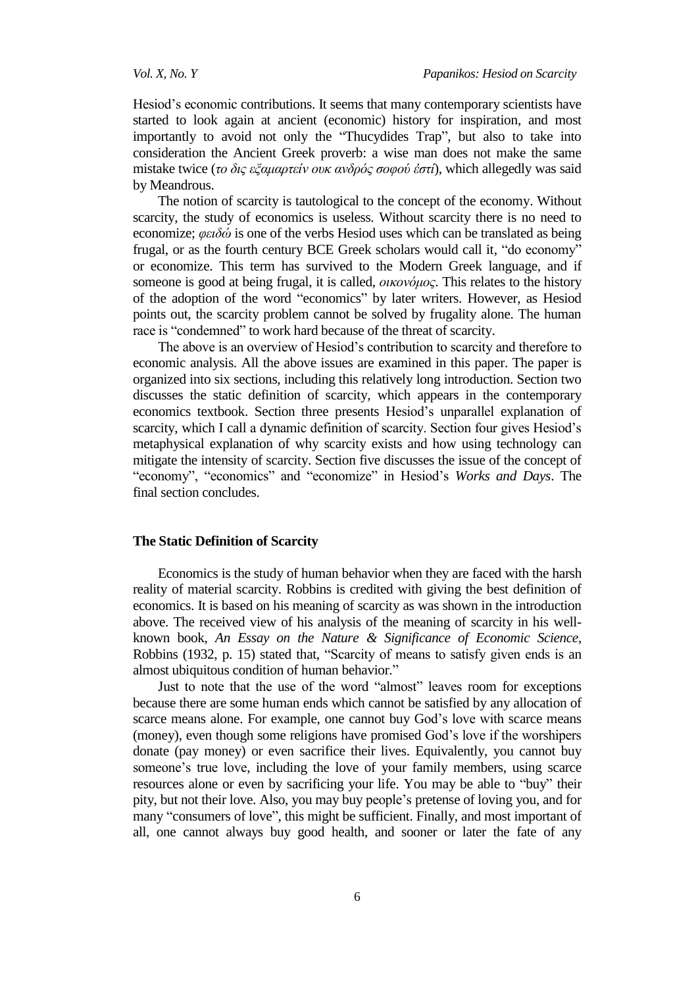Hesiod's economic contributions. It seems that many contemporary scientists have started to look again at ancient (economic) history for inspiration, and most importantly to avoid not only the "Thucydides Trap", but also to take into consideration the Ancient Greek proverb: a wise man does not make the same mistake twice (*το δις εξαμαρτείν ουκ ανδρός σοφού έστί*), which allegedly was said by Meandrous.

The notion of scarcity is tautological to the concept of the economy. Without scarcity, the study of economics is useless. Without scarcity there is no need to economize; *θειδώ* is one of the verbs Hesiod uses which can be translated as being frugal, or as the fourth century BCE Greek scholars would call it, "do economy" or economize. This term has survived to the Modern Greek language, and if someone is good at being frugal, it is called, *οικονόμορ*. This relates to the history of the adoption of the word "economics" by later writers. However, as Hesiod points out, the scarcity problem cannot be solved by frugality alone. The human race is "condemned" to work hard because of the threat of scarcity.

The above is an overview of Hesiod's contribution to scarcity and therefore to economic analysis. All the above issues are examined in this paper. The paper is organized into six sections, including this relatively long introduction. Section two discusses the static definition of scarcity, which appears in the contemporary economics textbook. Section three presents Hesiod's unparallel explanation of scarcity, which I call a dynamic definition of scarcity. Section four gives Hesiod's metaphysical explanation of why scarcity exists and how using technology can mitigate the intensity of scarcity. Section five discusses the issue of the concept of "economy", "economics" and "economize" in Hesiod's *Works and Days*. The final section concludes.

## **The Static Definition of Scarcity**

Economics is the study of human behavior when they are faced with the harsh reality of material scarcity. Robbins is credited with giving the best definition of economics. It is based on his meaning of scarcity as was shown in the introduction above. The received view of his analysis of the meaning of scarcity in his wellknown book, *An Essay on the Nature & Significance of Economic Science*, Robbins (1932, p. 15) stated that, "Scarcity of means to satisfy given ends is an almost ubiquitous condition of human behavior."

Just to note that the use of the word "almost" leaves room for exceptions because there are some human ends which cannot be satisfied by any allocation of scarce means alone. For example, one cannot buy God's love with scarce means (money), even though some religions have promised God's love if the worshipers donate (pay money) or even sacrifice their lives. Equivalently, you cannot buy someone's true love, including the love of your family members, using scarce resources alone or even by sacrificing your life. You may be able to "buy" their pity, but not their love. Also, you may buy people's pretense of loving you, and for many "consumers of love", this might be sufficient. Finally, and most important of all, one cannot always buy good health, and sooner or later the fate of any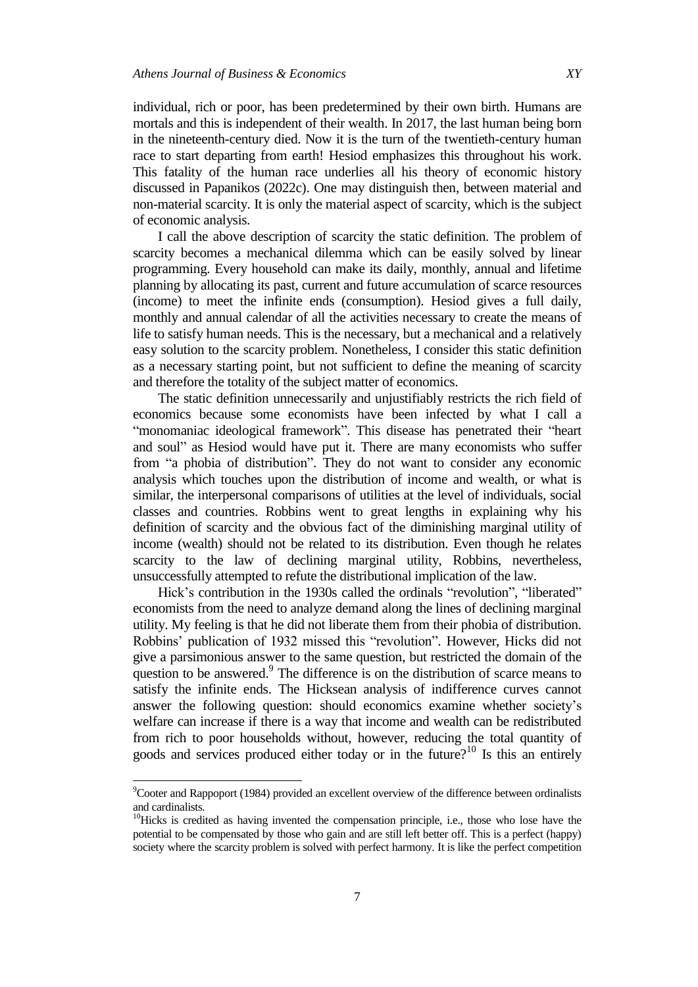individual, rich or poor, has been predetermined by their own birth. Humans are mortals and this is independent of their wealth. In 2017, the last human being born in the nineteenth-century died. Now it is the turn of the twentieth-century human race to start departing from earth! Hesiod emphasizes this throughout his work. This fatality of the human race underlies all his theory of economic history discussed in Papanikos (2022c). One may distinguish then, between material and non-material scarcity. It is only the material aspect of scarcity, which is the subject of economic analysis.

I call the above description of scarcity the static definition. The problem of scarcity becomes a mechanical dilemma which can be easily solved by linear programming. Every household can make its daily, monthly, annual and lifetime planning by allocating its past, current and future accumulation of scarce resources (income) to meet the infinite ends (consumption). Hesiod gives a full daily, monthly and annual calendar of all the activities necessary to create the means of life to satisfy human needs. This is the necessary, but a mechanical and a relatively easy solution to the scarcity problem. Nonetheless, I consider this static definition as a necessary starting point, but not sufficient to define the meaning of scarcity and therefore the totality of the subject matter of economics.

The static definition unnecessarily and unjustifiably restricts the rich field of economics because some economists have been infected by what I call a "monomaniac ideological framework". This disease has penetrated their "heart and soul" as Hesiod would have put it. There are many economists who suffer from "a phobia of distribution". They do not want to consider any economic analysis which touches upon the distribution of income and wealth, or what is similar, the interpersonal comparisons of utilities at the level of individuals, social classes and countries. Robbins went to great lengths in explaining why his definition of scarcity and the obvious fact of the diminishing marginal utility of income (wealth) should not be related to its distribution. Even though he relates scarcity to the law of declining marginal utility, Robbins, nevertheless, unsuccessfully attempted to refute the distributional implication of the law.

Hick's contribution in the 1930s called the ordinals "revolution", "liberated" economists from the need to analyze demand along the lines of declining marginal utility. My feeling is that he did not liberate them from their phobia of distribution. Robbins' publication of 1932 missed this "revolution". However, Hicks did not give a parsimonious answer to the same question, but restricted the domain of the question to be answered.<sup>9</sup> The difference is on the distribution of scarce means to satisfy the infinite ends. The Hicksean analysis of indifference curves cannot answer the following question: should economics examine whether society's welfare can increase if there is a way that income and wealth can be redistributed from rich to poor households without, however, reducing the total quantity of goods and services produced either today or in the future?<sup>10</sup> Is this an entirely

l

<sup>9</sup>Cooter and Rappoport (1984) provided an excellent overview of the difference between ordinalists and cardinalists.

<sup>&</sup>lt;sup>10</sup>Hicks is credited as having invented the compensation principle, i.e., those who lose have the potential to be compensated by those who gain and are still left better off. This is a perfect (happy) society where the scarcity problem is solved with perfect harmony. It is like the perfect competition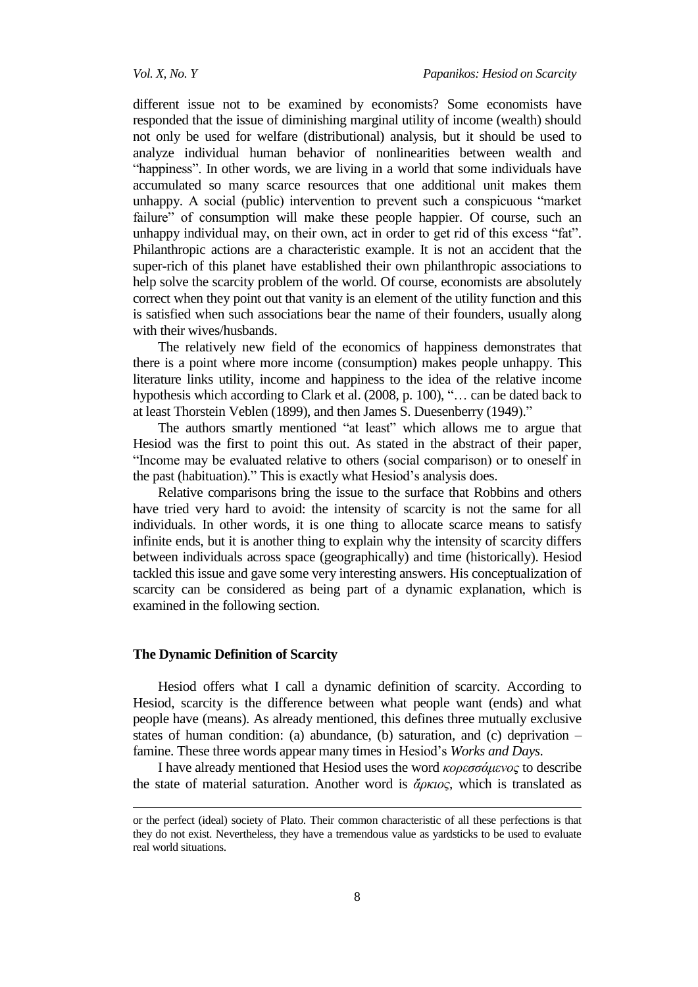different issue not to be examined by economists? Some economists have responded that the issue of diminishing marginal utility of income (wealth) should not only be used for welfare (distributional) analysis, but it should be used to analyze individual human behavior of nonlinearities between wealth and "happiness". In other words, we are living in a world that some individuals have accumulated so many scarce resources that one additional unit makes them unhappy. A social (public) intervention to prevent such a conspicuous "market failure" of consumption will make these people happier. Of course, such an unhappy individual may, on their own, act in order to get rid of this excess "fat". Philanthropic actions are a characteristic example. It is not an accident that the super-rich of this planet have established their own philanthropic associations to help solve the scarcity problem of the world. Of course, economists are absolutely correct when they point out that vanity is an element of the utility function and this is satisfied when such associations bear the name of their founders, usually along with their wives/husbands.

The relatively new field of the economics of happiness demonstrates that there is a point where more income (consumption) makes people unhappy. This literature links utility, income and happiness to the idea of the relative income hypothesis which according to Clark et al. (2008, p. 100), "... can be dated back to at least Thorstein Veblen (1899), and then James S. Duesenberry (1949)."

The authors smartly mentioned "at least" which allows me to argue that Hesiod was the first to point this out. As stated in the abstract of their paper, "Income may be evaluated relative to others (social comparison) or to oneself in the past (habituation)." This is exactly what Hesiod's analysis does.

Relative comparisons bring the issue to the surface that Robbins and others have tried very hard to avoid: the intensity of scarcity is not the same for all individuals. In other words, it is one thing to allocate scarce means to satisfy infinite ends, but it is another thing to explain why the intensity of scarcity differs between individuals across space (geographically) and time (historically). Hesiod tackled this issue and gave some very interesting answers. His conceptualization of scarcity can be considered as being part of a dynamic explanation, which is examined in the following section.

#### **The Dynamic Definition of Scarcity**

-

Hesiod offers what I call a dynamic definition of scarcity. According to Hesiod, scarcity is the difference between what people want (ends) and what people have (means). As already mentioned, this defines three mutually exclusive states of human condition: (a) abundance, (b) saturation, and (c) deprivation – famine. These three words appear many times in Hesiod's *Works and Days*.

I have already mentioned that Hesiod uses the word *κορεσσάμενος* to describe the state of material saturation. Another word is  $\alpha$ <sub>*άρκιος*, which is translated as</sub>

or the perfect (ideal) society of Plato. Their common characteristic of all these perfections is that they do not exist. Nevertheless, they have a tremendous value as yardsticks to be used to evaluate real world situations.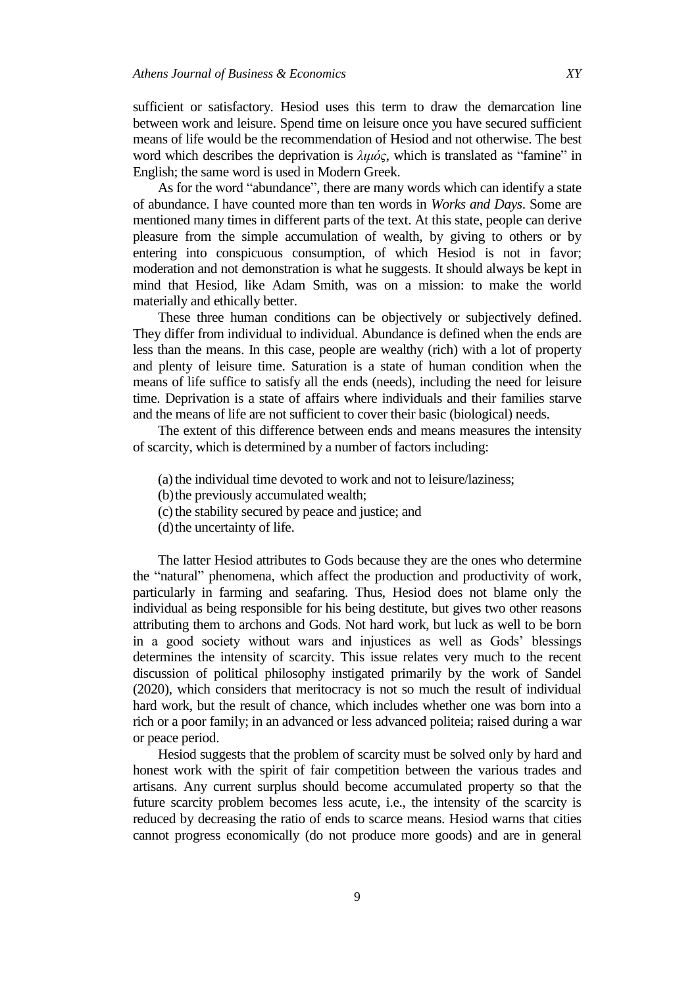sufficient or satisfactory. Hesiod uses this term to draw the demarcation line between work and leisure. Spend time on leisure once you have secured sufficient means of life would be the recommendation of Hesiod and not otherwise. The best word which describes the deprivation is  $λιμός$ , which is translated as "famine" in English; the same word is used in Modern Greek.

As for the word "abundance", there are many words which can identify a state of abundance. I have counted more than ten words in *Works and Days*. Some are mentioned many times in different parts of the text. At this state, people can derive pleasure from the simple accumulation of wealth, by giving to others or by entering into conspicuous consumption, of which Hesiod is not in favor; moderation and not demonstration is what he suggests. It should always be kept in mind that Hesiod, like Adam Smith, was on a mission: to make the world materially and ethically better.

These three human conditions can be objectively or subjectively defined. They differ from individual to individual. Abundance is defined when the ends are less than the means. In this case, people are wealthy (rich) with a lot of property and plenty of leisure time. Saturation is a state of human condition when the means of life suffice to satisfy all the ends (needs), including the need for leisure time. Deprivation is a state of affairs where individuals and their families starve and the means of life are not sufficient to cover their basic (biological) needs.

The extent of this difference between ends and means measures the intensity of scarcity, which is determined by a number of factors including:

- (a) the individual time devoted to work and not to leisure/laziness;
- (b)the previously accumulated wealth;
- (c)the stability secured by peace and justice; and
- (d) the uncertainty of life.

The latter Hesiod attributes to Gods because they are the ones who determine the "natural" phenomena, which affect the production and productivity of work, particularly in farming and seafaring. Thus, Hesiod does not blame only the individual as being responsible for his being destitute, but gives two other reasons attributing them to archons and Gods. Not hard work, but luck as well to be born in a good society without wars and injustices as well as Gods' blessings determines the intensity of scarcity. This issue relates very much to the recent discussion of political philosophy instigated primarily by the work of Sandel (2020), which considers that meritocracy is not so much the result of individual hard work, but the result of chance, which includes whether one was born into a rich or a poor family; in an advanced or less advanced politeia; raised during a war or peace period.

Hesiod suggests that the problem of scarcity must be solved only by hard and honest work with the spirit of fair competition between the various trades and artisans. Any current surplus should become accumulated property so that the future scarcity problem becomes less acute, i.e., the intensity of the scarcity is reduced by decreasing the ratio of ends to scarce means. Hesiod warns that cities cannot progress economically (do not produce more goods) and are in general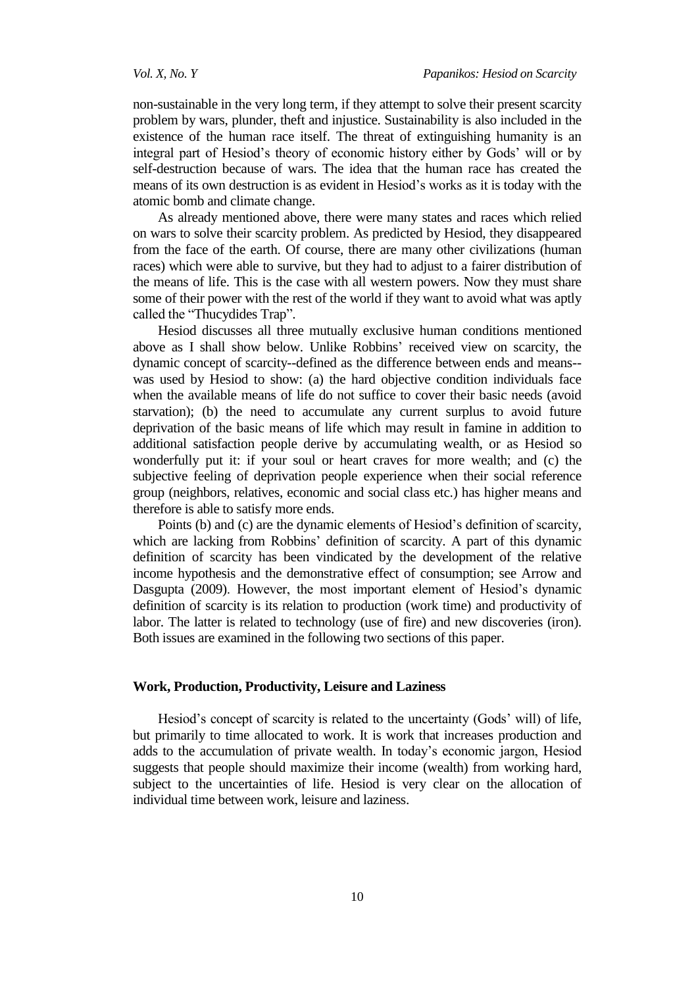non-sustainable in the very long term, if they attempt to solve their present scarcity problem by wars, plunder, theft and injustice. Sustainability is also included in the existence of the human race itself. The threat of extinguishing humanity is an integral part of Hesiod's theory of economic history either by Gods' will or by self-destruction because of wars. The idea that the human race has created the means of its own destruction is as evident in Hesiod's works as it is today with the atomic bomb and climate change.

As already mentioned above, there were many states and races which relied on wars to solve their scarcity problem. As predicted by Hesiod, they disappeared from the face of the earth. Of course, there are many other civilizations (human races) which were able to survive, but they had to adjust to a fairer distribution of the means of life. This is the case with all western powers. Now they must share some of their power with the rest of the world if they want to avoid what was aptly called the "Thucydides Trap".

Hesiod discusses all three mutually exclusive human conditions mentioned above as I shall show below. Unlike Robbins' received view on scarcity, the dynamic concept of scarcity--defined as the difference between ends and means- was used by Hesiod to show: (a) the hard objective condition individuals face when the available means of life do not suffice to cover their basic needs (avoid starvation); (b) the need to accumulate any current surplus to avoid future deprivation of the basic means of life which may result in famine in addition to additional satisfaction people derive by accumulating wealth, or as Hesiod so wonderfully put it: if your soul or heart craves for more wealth; and (c) the subjective feeling of deprivation people experience when their social reference group (neighbors, relatives, economic and social class etc.) has higher means and therefore is able to satisfy more ends.

Points (b) and (c) are the dynamic elements of Hesiod's definition of scarcity, which are lacking from Robbins' definition of scarcity. A part of this dynamic definition of scarcity has been vindicated by the development of the relative income hypothesis and the demonstrative effect of consumption; see Arrow and Dasgupta (2009). However, the most important element of Hesiod's dynamic definition of scarcity is its relation to production (work time) and productivity of labor. The latter is related to technology (use of fire) and new discoveries (iron). Both issues are examined in the following two sections of this paper.

### **Work, Production, Productivity, Leisure and Laziness**

Hesiod's concept of scarcity is related to the uncertainty (Gods' will) of life, but primarily to time allocated to work. It is work that increases production and adds to the accumulation of private wealth. In today's economic jargon, Hesiod suggests that people should maximize their income (wealth) from working hard, subject to the uncertainties of life. Hesiod is very clear on the allocation of individual time between work, leisure and laziness.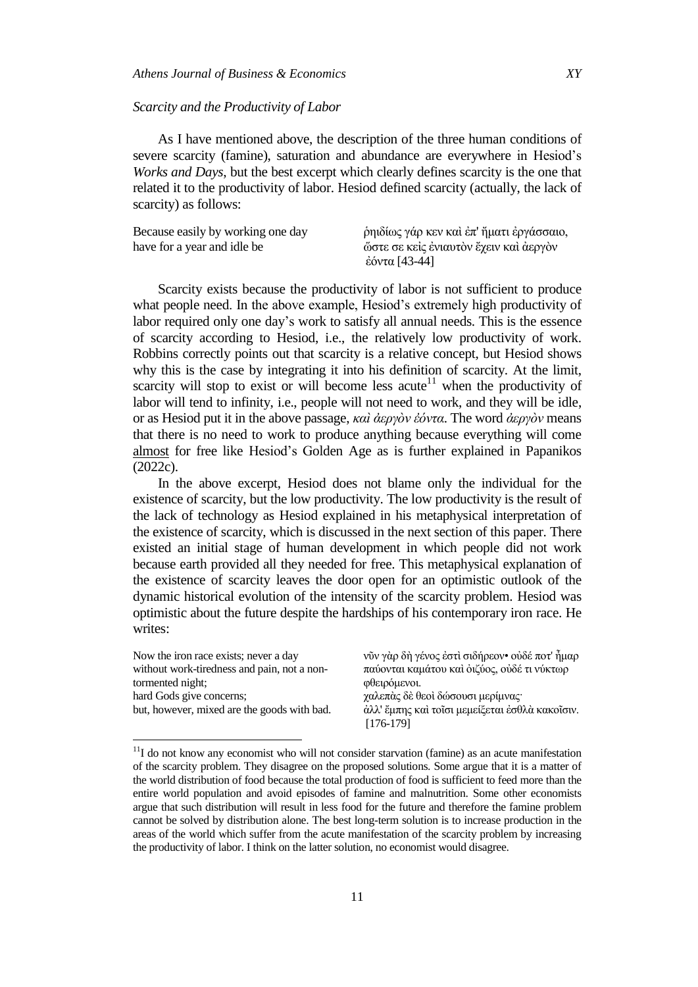### *Scarcity and the Productivity of Labor*

l

As I have mentioned above, the description of the three human conditions of severe scarcity (famine), saturation and abundance are everywhere in Hesiod's *Works and Days*, but the best excerpt which clearly defines scarcity is the one that related it to the productivity of labor. Hesiod defined scarcity (actually, the lack of scarcity) as follows:

| Because easily by working one day | ρηιδίως γάρ κεν και έπ' ήματι έργάσσαιο, |
|-----------------------------------|------------------------------------------|
| have for a year and idle be       | ώστε σε κείς ένιαυτόν έχειν και άεργόν   |
|                                   | έόντα [43-44]                            |

Scarcity exists because the productivity of labor is not sufficient to produce what people need. In the above example, Hesiod's extremely high productivity of labor required only one day's work to satisfy all annual needs. This is the essence of scarcity according to Hesiod, i.e., the relatively low productivity of work. Robbins correctly points out that scarcity is a relative concept, but Hesiod shows why this is the case by integrating it into his definition of scarcity. At the limit, scarcity will stop to exist or will become less acute<sup>11</sup> when the productivity of labor will tend to infinity, i.e., people will not need to work, and they will be idle, or as Hesiod put it in the above passage, *καὶ ἀεπγὸν ἐόνηα*. The word *ἀεπγὸν* means that there is no need to work to produce anything because everything will come almost for free like Hesiod's Golden Age as is further explained in Papanikos (2022c).

In the above excerpt, Hesiod does not blame only the individual for the existence of scarcity, but the low productivity. The low productivity is the result of the lack of technology as Hesiod explained in his metaphysical interpretation of the existence of scarcity, which is discussed in the next section of this paper. There existed an initial stage of human development in which people did not work because earth provided all they needed for free. This metaphysical explanation of the existence of scarcity leaves the door open for an optimistic outlook of the dynamic historical evolution of the intensity of the scarcity problem. Hesiod was optimistic about the future despite the hardships of his contemporary iron race. He writes:

| Now the iron race exists; never a day       | νῦν γὰρ δὴ γένος ἐστὶ σιδήρεον• οὐδέ ποτ' ἦμαρ                 |
|---------------------------------------------|----------------------------------------------------------------|
| without work-tiredness and pain, not a non- | παύονται καμάτου και οιζύος, ουδέ τι νύκτωρ                    |
| tormented night;                            | φθειρόμενοι.                                                   |
| hard Gods give concerns;                    | χαλεπὰς δὲ θεοὶ δώσουσι μερίμνας·                              |
| but, however, mixed are the goods with bad. | άλλ' έμπης και τοΐσι μεμείξεται έσθλα κακοΐσιν.<br>$[176-179]$ |

 $11$ I do not know any economist who will not consider starvation (famine) as an acute manifestation of the scarcity problem. They disagree on the proposed solutions. Some argue that it is a matter of the world distribution of food because the total production of food is sufficient to feed more than the entire world population and avoid episodes of famine and malnutrition. Some other economists argue that such distribution will result in less food for the future and therefore the famine problem cannot be solved by distribution alone. The best long-term solution is to increase production in the areas of the world which suffer from the acute manifestation of the scarcity problem by increasing the productivity of labor. I think on the latter solution, no economist would disagree.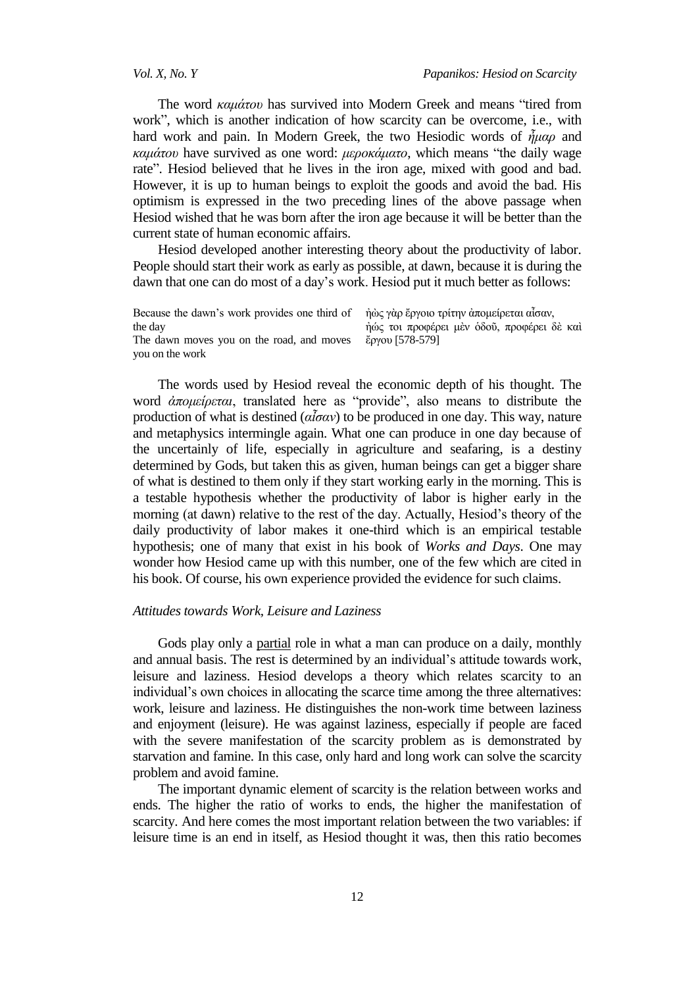The word *καμάτου* has survived into Modern Greek and means "tired from work", which is another indication of how scarcity can be overcome, i.e., with hard work and pain. In Modern Greek, the two Hesiodic words of  $\tilde{\eta} \mu \alpha \rho$  and *καμάτου* have survived as one word: *μεροκάματο*, which means "the daily wage rate". Hesiod believed that he lives in the iron age, mixed with good and bad. However, it is up to human beings to exploit the goods and avoid the bad. His optimism is expressed in the two preceding lines of the above passage when Hesiod wished that he was born after the iron age because it will be better than the current state of human economic affairs.

Hesiod developed another interesting theory about the productivity of labor. People should start their work as early as possible, at dawn, because it is during the dawn that one can do most of a day's work. Hesiod put it much better as follows:

Because the dawn's work provides one third of the day The dawn moves you on the road, and moves you on the work

ήὼς γὰρ ἔργοιο τρίτην ἀπομείρεται αἶσαν, ήώς τοι προφέρει μεν όδοῦ, προφέρει δε καί ἔργου [578-579]

The words used by Hesiod reveal the economic depth of his thought. The word *άπομείρεται*, translated here as "provide", also means to distribute the production of what is destined  $(a\tilde{a}\sigma a v)$  to be produced in one day. This way, nature and metaphysics intermingle again. What one can produce in one day because of the uncertainly of life, especially in agriculture and seafaring, is a destiny determined by Gods, but taken this as given, human beings can get a bigger share of what is destined to them only if they start working early in the morning. This is a testable hypothesis whether the productivity of labor is higher early in the morning (at dawn) relative to the rest of the day. Actually, Hesiod's theory of the daily productivity of labor makes it one-third which is an empirical testable hypothesis; one of many that exist in his book of *Works and Days*. One may wonder how Hesiod came up with this number, one of the few which are cited in his book. Of course, his own experience provided the evidence for such claims.

### *Attitudes towards Work, Leisure and Laziness*

Gods play only a partial role in what a man can produce on a daily, monthly and annual basis. The rest is determined by an individual's attitude towards work, leisure and laziness. Hesiod develops a theory which relates scarcity to an individual's own choices in allocating the scarce time among the three alternatives: work, leisure and laziness. He distinguishes the non-work time between laziness and enjoyment (leisure). He was against laziness, especially if people are faced with the severe manifestation of the scarcity problem as is demonstrated by starvation and famine. In this case, only hard and long work can solve the scarcity problem and avoid famine.

The important dynamic element of scarcity is the relation between works and ends. The higher the ratio of works to ends, the higher the manifestation of scarcity. And here comes the most important relation between the two variables: if leisure time is an end in itself, as Hesiod thought it was, then this ratio becomes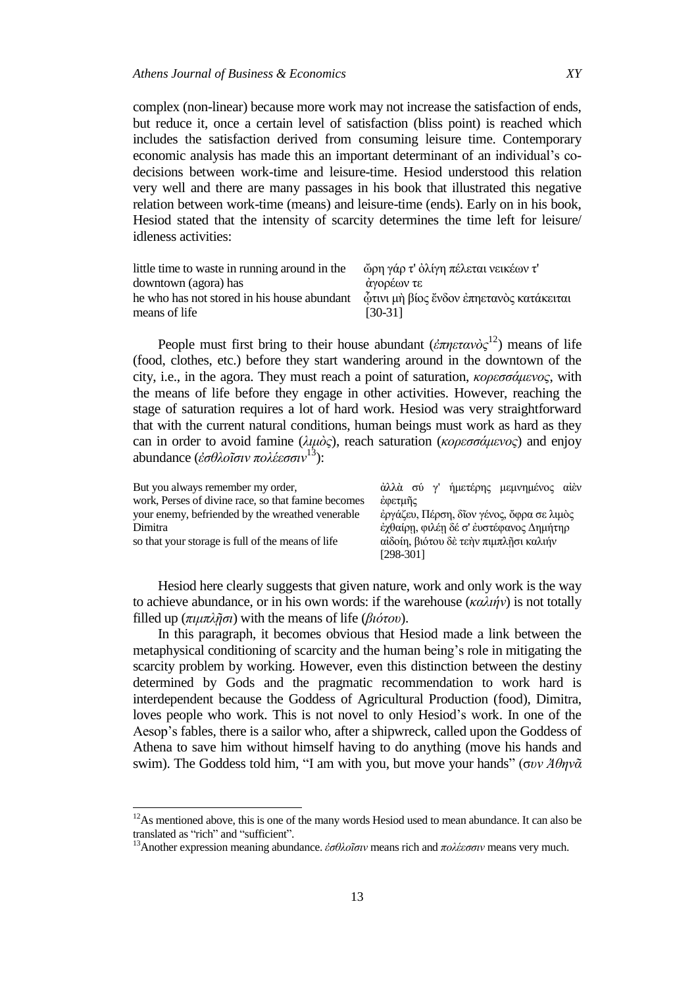complex (non-linear) because more work may not increase the satisfaction of ends, but reduce it, once a certain level of satisfaction (bliss point) is reached which includes the satisfaction derived from consuming leisure time. Contemporary economic analysis has made this an important determinant of an individual's codecisions between work-time and leisure-time. Hesiod understood this relation very well and there are many passages in his book that illustrated this negative relation between work-time (means) and leisure-time (ends). Early on in his book, Hesiod stated that the intensity of scarcity determines the time left for leisure/ idleness activities:

| little time to waste in running around in the                                       | ώρη γάρ τ' ὀλίγη πέλεται νεικέων τ' |
|-------------------------------------------------------------------------------------|-------------------------------------|
| downtown (agora) has                                                                | άγορέων τε                          |
| he who has not stored in his house abundant δτυνιμή βίος ένδον επηετανός κατάκειται |                                     |
| means of life                                                                       | $[30-31]$                           |

People must first bring to their house abundant (*ἐπηετανὸς*<sup>12</sup>) means of life (food, clothes, etc.) before they start wandering around in the downtown of the city, i.e., in the agora. They must reach a point of saturation, *κορεσσάμενος*, with the means of life before they engage in other activities. However, reaching the stage of saturation requires a lot of hard work. Hesiod was very straightforward that with the current natural conditions, human beings must work as hard as they can in order to avoid famine (λιμὸς), reach saturation (*κορεσσάμενος*) and enjoy abundance (*ἐσθλοῖσιν πολέεσσιν*<sup>13</sup>):

| But you always remember my order,                   | άλλὰ σύ γ' ήμετέρης μεμνημένος αίὲν       |
|-----------------------------------------------------|-------------------------------------------|
| work, Perses of divine race, so that famine becomes | έφετμῆς                                   |
| your enemy, befriended by the wreathed venerable    | έργάζευ, Πέρση, δίον γένος, όφρα σε λιμός |
| Dimitra                                             | έχθαίρη, φιλέη δέ σ' έυστέφανος Δημήτηρ   |
| so that your storage is full of the means of life   | αίδοίη, βιότου δε τεην πιμπλησι καλιήν    |
|                                                     | $[298-301]$                               |

Hesiod here clearly suggests that given nature, work and only work is the way to achieve abundance, or in his own words: if the warehouse (*καλιήν*) is not totally filled up (*πιμπλῇζι*) with the means of life (*βιόηος*).

In this paragraph, it becomes obvious that Hesiod made a link between the metaphysical conditioning of scarcity and the human being's role in mitigating the scarcity problem by working. However, even this distinction between the destiny determined by Gods and the pragmatic recommendation to work hard is interdependent because the Goddess of Agricultural Production (food), Dimitra, loves people who work. This is not novel to only Hesiod's work. In one of the Aesop's fables, there is a sailor who, after a shipwreck, called upon the Goddess of Athena to save him without himself having to do anything (move his hands and swim). The Goddess told him, "I am with you, but move your hands" (συν Άθηνᾶ

 $\overline{\phantom{a}}$ 

 $12$ As mentioned above, this is one of the many words Hesiod used to mean abundance. It can also be translated as "rich" and "sufficient".

<sup>&</sup>lt;sup>13</sup>Another expression meaning abundance. *ἐσθλοῖσιν* means rich and πολέεσσιν means very much.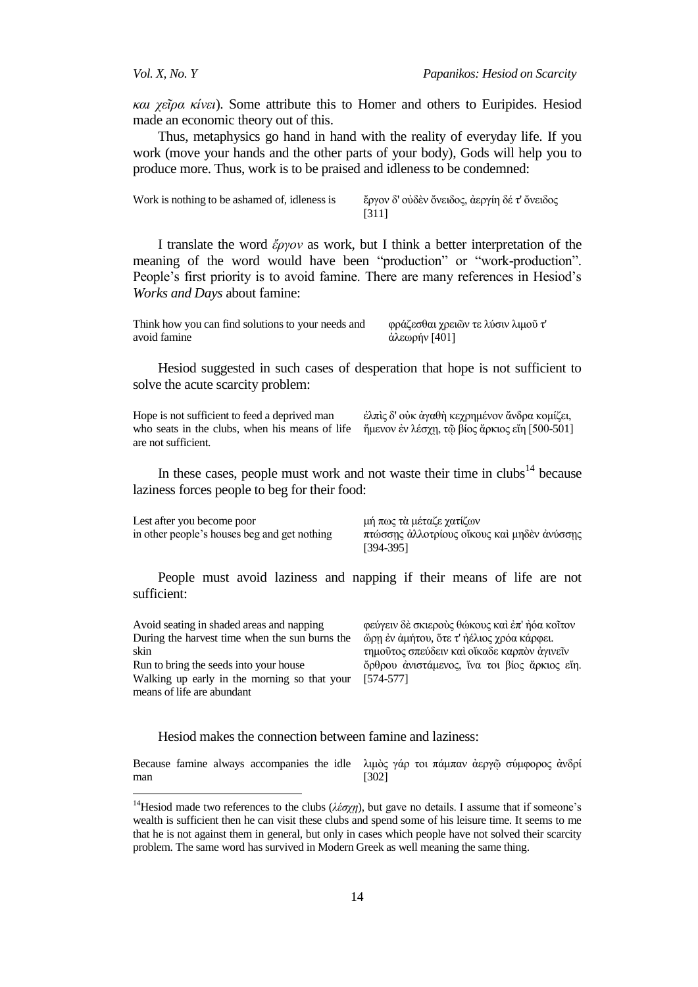*και χεῖρα κίνει*). Some attribute this to Homer and others to Euripides. Hesiod made an economic theory out of this.

Thus, metaphysics go hand in hand with the reality of everyday life. If you work (move your hands and the other parts of your body), Gods will help you to produce more. Thus, work is to be praised and idleness to be condemned:

| Work is nothing to be ashamed of, idleness is | έργον δ' ούδεν όνειδος, άεργίη δέ τ' όνειδος |
|-----------------------------------------------|----------------------------------------------|
|                                               | [311]                                        |

I translate the word *ἔπγον* as work, but I think a better interpretation of the meaning of the word would have been "production" or "work-production". People's first priority is to avoid famine. There are many references in Hesiod's *Works and Days* about famine:

Think how you can find solutions to your needs and avoid famine φράζεσθαι χρειῶν τε λύσιν λιμοῦ τ' άλεωρήν [401]

Hesiod suggested in such cases of desperation that hope is not sufficient to solve the acute scarcity problem:

Hope is not sufficient to feed a deprived man who seats in the clubs, when his means of life ήμενον ἐν λέσχη, τῷ βίος ἄρκιος εἴη [500-501] are not sufficient. έλπις δ' ούκ άγαθή κεχρημένον άνδρα κομίζει,

In these cases, people must work and not waste their time in  $\text{clubs}^{14}$  because laziness forces people to beg for their food:

Lest after you become poor in other people's houses beg and get nothing

l

μή πως τα μέταζε χατίζων πτώσσης άλλοτρίους οἴκους καὶ μηδεν ἀνύσσης [394-395]

People must avoid laziness and napping if their means of life are not sufficient:

| Avoid seating in shaded areas and napping      | φεύγειν δὲ σκιεροὺς θώκους καὶ ἐπ' ἠόα κοῖτον |
|------------------------------------------------|-----------------------------------------------|
| During the harvest time when the sun burns the | ὥρη ἐν ἀμήτου, ὅτε τ' ἠέλιος χρόα κάρφει.     |
| skin                                           | τημούτος σπεύδειν και οίκαδε καρπόν άγινεΐν   |
| Run to bring the seeds into your house         | ὄρθρου άνιστάμενος, ίνα τοι βίος ἄρκιος εἴη.  |
| Walking up early in the morning so that your   | $[574 - 577]$                                 |
| means of life are abundant                     |                                               |
|                                                |                                               |

Hesiod makes the connection between famine and laziness:

Because famine always accompanies the idle man λιμὸς γάρ τοι πάμπαν ἀεργῷ σύμφορος ἀνδρί [302]

<sup>&</sup>lt;sup>14</sup>Hesiod made two references to the clubs ( $\lambda \epsilon \sigma \chi \eta$ ), but gave no details. I assume that if someone's wealth is sufficient then he can visit these clubs and spend some of his leisure time. It seems to me that he is not against them in general, but only in cases which people have not solved their scarcity problem. The same word has survived in Modern Greek as well meaning the same thing.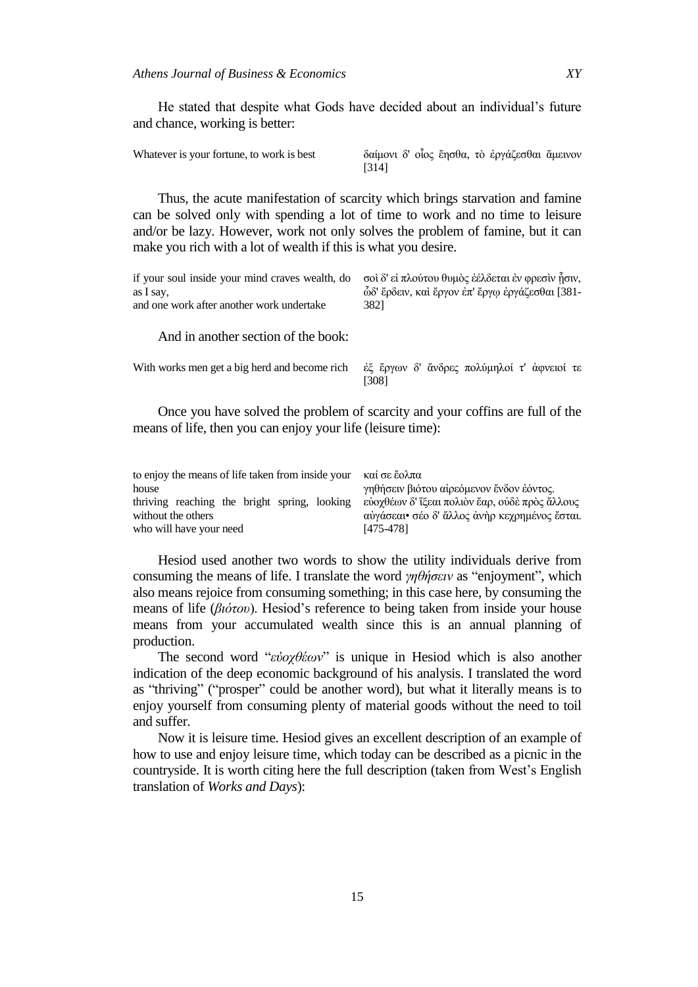He stated that despite what Gods have decided about an individual's future and chance, working is better:

| Whatever is your fortune, to work is best |       |  |  | δαίμονι δ' οίος έησθα, το εργάζεσθαι άμεινον |  |
|-------------------------------------------|-------|--|--|----------------------------------------------|--|
|                                           | [314] |  |  |                                              |  |

Thus, the acute manifestation of scarcity which brings starvation and famine can be solved only with spending a lot of time to work and no time to leisure and/or be lazy. However, work not only solves the problem of famine, but it can make you rich with a lot of wealth if this is what you desire.

| if your soul inside your mind craves wealth, do $\sigma$ οί δ' είπλούτου θυμός εελδεται εν φρεσινήσιν,<br>as I say.<br>and one work after another work undertake | ώδ' ἔρδειν, καὶ ἔργον ἐπ' ἔργῳ ἐργάζεσθαι [381-<br>3821 |
|------------------------------------------------------------------------------------------------------------------------------------------------------------------|---------------------------------------------------------|
|                                                                                                                                                                  |                                                         |

And in another section of the book:

With works men get a big herd and become rich ελευθερικών δ' ἄνδρες πολύμηλοί τ' ἀφνειοί τε [308]

Once you have solved the problem of scarcity and your coffins are full of the means of life, then you can enjoy your life (leisure time):

| to enjoy the means of life taken from inside your $\kappa \alpha i \sigma \epsilon \dot{\epsilon} o \lambda \pi \alpha$ |                                               |
|-------------------------------------------------------------------------------------------------------------------------|-----------------------------------------------|
| house                                                                                                                   | γηθήσειν βιότου αίρεόμενον ένδον εόντος.      |
| thriving reaching the bright spring, looking εύοχθέων δ' ΐξεαι πολιόν έαρ, ούδε πρός άλλους                             |                                               |
| without the others                                                                                                      | αύγάσεαι• σέο δ' άλλος άνηρ κεχρημένος έσται. |
| who will have your need                                                                                                 | [475-478]                                     |

Hesiod used another two words to show the utility individuals derive from consuming the means of life. I translate the word  $\gamma \eta \theta \eta \sigma \epsilon \nu$  as "enjoyment", which also means rejoice from consuming something; in this case here, by consuming the means of life (*βιότου*). Hesiod's reference to being taken from inside your house means from your accumulated wealth since this is an annual planning of production.

The second word "*εὐοχθέων*" is unique in Hesiod which is also another indication of the deep economic background of his analysis. I translated the word as "thriving" ("prosper" could be another word), but what it literally means is to enjoy yourself from consuming plenty of material goods without the need to toil and suffer.

Now it is leisure time. Hesiod gives an excellent description of an example of how to use and enjoy leisure time, which today can be described as a picnic in the countryside. It is worth citing here the full description (taken from West's English translation of *Works and Days*):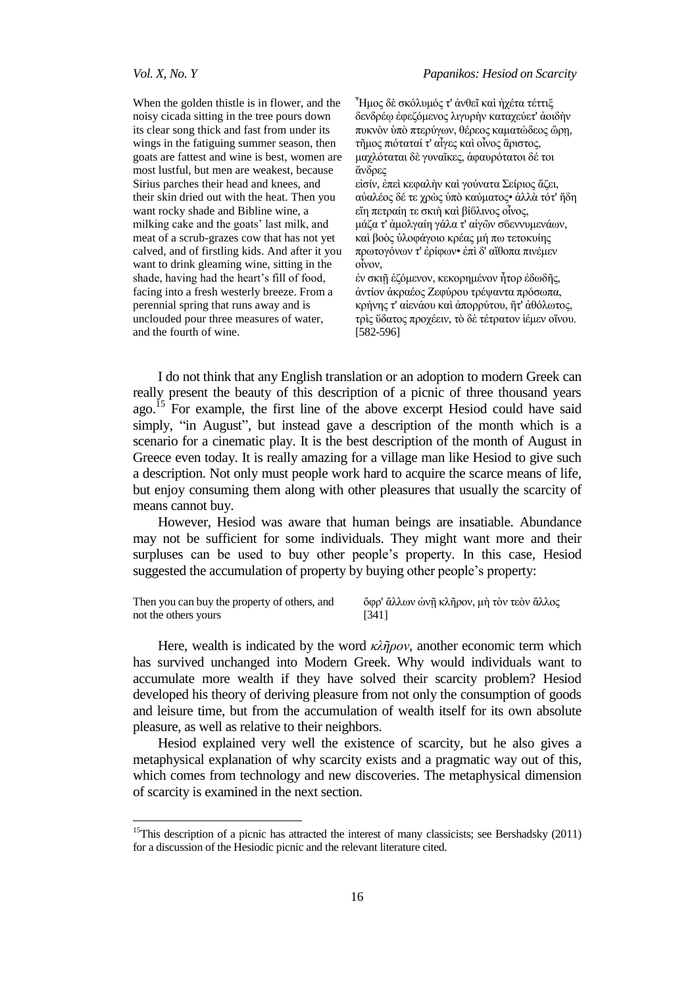$\overline{a}$ 

When the golden thistle is in flower, and the noisy cicada sitting in the tree pours down its clear song thick and fast from under its wings in the fatiguing summer season, then goats are fattest and wine is best, women are most lustful, but men are weakest, because Sirius parches their head and knees, and their skin dried out with the heat. Then you want rocky shade and Bibline wine, a milking cake and the goats' last milk, and meat of a scrub-grazes cow that has not yet calved, and of firstling kids. And after it you want to drink gleaming wine, sitting in the shade, having had the heart's fill of food, facing into a fresh westerly breeze. From a perennial spring that runs away and is unclouded pour three measures of water, and the fourth of wine.

 $\tilde{}$ Ήμος δὲ σκόλυμός τ' ἀνθεῖ καὶ ἠγέτα τέττιξ δενδρέφ έφεζόμενος λιγυρήν καταχεύετ' άοιδήν πυκνὸν υπό πτερύγων, θέρεος καματώδεος ὥρῃ, τῆμος πιόταταί τ' αἶγες καὶ οἶνος ἄριστος, μαχλόταται δε γυναΐκες, άφαυρότατοι δέ τοι άνδρες

είσίν, έπει κεφαλήν και γούνατα Σείριος ἄζει, αύαλέος δέ τε γρὼς ύπὸ καύματος• άλλὰ τότ' ήδη εἴη πετραίη τε σκιή και βίβλινος οἶνος, μάζα τ' άμολγαίη γάλα τ' αίγων σδεννυμενάων, καί βοὸς ύλοφάγοιο κρέας μή πω τετοκυίης πρωτογόνων τ' έρίφων• έπι δ' αίθοπα πινέμεν οἶνον.

έν σκιῆ ἑζόμενον, κεκορημένον ἦτορ ἐδωδῆς, αντίον ακραέος Ζεφύρου τρέψαντα πρόσωπα, κρήνης τ' αίενάου καὶ ἀπορρύτου, ἥτ' ἀθόλωτος, τρὶς ὕδατος προγέειν, τὸ δὲ τέτρατον ἱέμεν οἴνου. [582-596]

I do not think that any English translation or an adoption to modern Greek can really present the beauty of this description of a picnic of three thousand years ago.<sup>15</sup> For example, the first line of the above excerpt Hesiod could have said simply, "in August", but instead gave a description of the month which is a scenario for a cinematic play. It is the best description of the month of August in Greece even today. It is really amazing for a village man like Hesiod to give such a description. Not only must people work hard to acquire the scarce means of life, but enjoy consuming them along with other pleasures that usually the scarcity of means cannot buy.

However, Hesiod was aware that human beings are insatiable. Abundance may not be sufficient for some individuals. They might want more and their surpluses can be used to buy other people's property. In this case, Hesiod suggested the accumulation of property by buying other people's property:

| Then you can buy the property of others, and | ὄφρ' ἄλλων ώνῇ κλῆρον, μὴ τὸν τεὸν ἄλλος |
|----------------------------------------------|------------------------------------------|
| not the others yours                         | [341]                                    |

Here, wealth is indicated by the word *κλῆρον*, another economic term which has survived unchanged into Modern Greek. Why would individuals want to accumulate more wealth if they have solved their scarcity problem? Hesiod developed his theory of deriving pleasure from not only the consumption of goods and leisure time, but from the accumulation of wealth itself for its own absolute pleasure, as well as relative to their neighbors.

Hesiod explained very well the existence of scarcity, but he also gives a metaphysical explanation of why scarcity exists and a pragmatic way out of this, which comes from technology and new discoveries. The metaphysical dimension of scarcity is examined in the next section.

<sup>&</sup>lt;sup>15</sup>This description of a picnic has attracted the interest of many classicists; see Bershadsky (2011) for a discussion of the Hesiodic picnic and the relevant literature cited.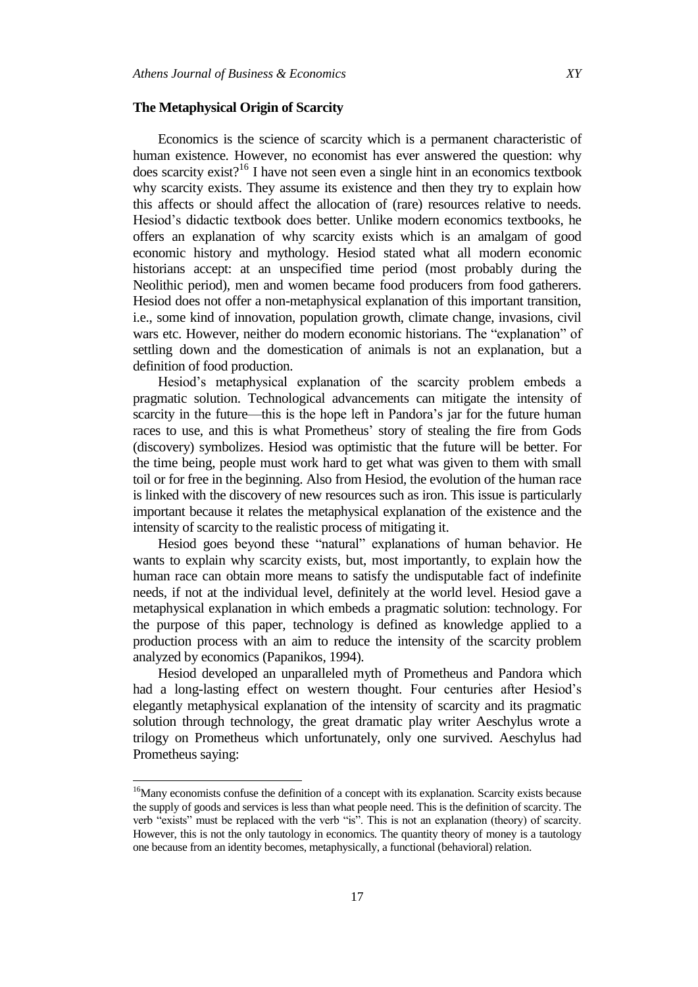#### **The Metaphysical Origin of Scarcity**

Economics is the science of scarcity which is a permanent characteristic of human existence. However, no economist has ever answered the question: why does scarcity exist?<sup>16</sup> I have not seen even a single hint in an economics textbook why scarcity exists. They assume its existence and then they try to explain how this affects or should affect the allocation of (rare) resources relative to needs. Hesiod's didactic textbook does better. Unlike modern economics textbooks, he offers an explanation of why scarcity exists which is an amalgam of good economic history and mythology. Hesiod stated what all modern economic historians accept: at an unspecified time period (most probably during the Neolithic period), men and women became food producers from food gatherers. Hesiod does not offer a non-metaphysical explanation of this important transition, i.e., some kind of innovation, population growth, climate change, invasions, civil wars etc. However, neither do modern economic historians. The "explanation" of settling down and the domestication of animals is not an explanation, but a definition of food production.

Hesiod's metaphysical explanation of the scarcity problem embeds a pragmatic solution. Technological advancements can mitigate the intensity of scarcity in the future—this is the hope left in Pandora's jar for the future human races to use, and this is what Prometheus' story of stealing the fire from Gods (discovery) symbolizes. Hesiod was optimistic that the future will be better. For the time being, people must work hard to get what was given to them with small toil or for free in the beginning. Also from Hesiod, the evolution of the human race is linked with the discovery of new resources such as iron. This issue is particularly important because it relates the metaphysical explanation of the existence and the intensity of scarcity to the realistic process of mitigating it.

Hesiod goes beyond these "natural" explanations of human behavior. He wants to explain why scarcity exists, but, most importantly, to explain how the human race can obtain more means to satisfy the undisputable fact of indefinite needs, if not at the individual level, definitely at the world level. Hesiod gave a metaphysical explanation in which embeds a pragmatic solution: technology. For the purpose of this paper, technology is defined as knowledge applied to a production process with an aim to reduce the intensity of the scarcity problem analyzed by economics (Papanikos, 1994).

Hesiod developed an unparalleled myth of Prometheus and Pandora which had a long-lasting effect on western thought. Four centuries after Hesiod's elegantly metaphysical explanation of the intensity of scarcity and its pragmatic solution through technology, the great dramatic play writer Aeschylus wrote a trilogy on Prometheus which unfortunately, only one survived. Aeschylus had Prometheus saying:

l

<sup>&</sup>lt;sup>16</sup>Many economists confuse the definition of a concept with its explanation. Scarcity exists because the supply of goods and services is less than what people need. This is the definition of scarcity. The verb "exists" must be replaced with the verb "is". This is not an explanation (theory) of scarcity. However, this is not the only tautology in economics. The quantity theory of money is a tautology one because from an identity becomes, metaphysically, a functional (behavioral) relation.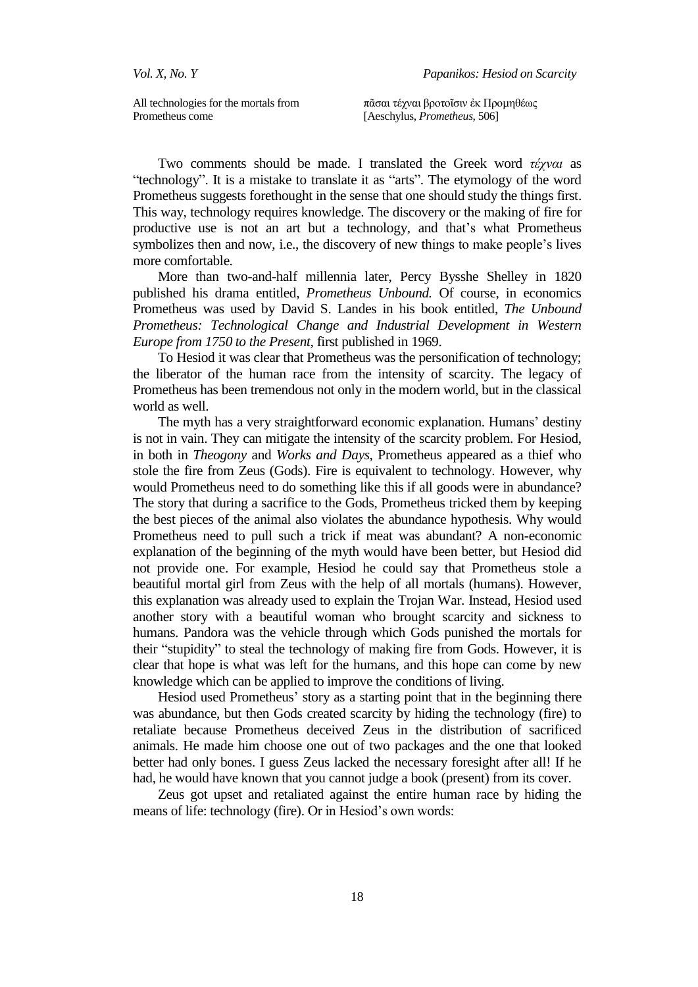All technologies for the mortals from Prometheus come

πᾶσαι τέχναι βροτοΐσιν ἐκ Προμηθέως [Aeschylus, *Prometheus*, 506]

Two comments should be made. I translated the Greek word *ηέσναι* as "technology". It is a mistake to translate it as "arts". The etymology of the word Prometheus suggests forethought in the sense that one should study the things first. This way, technology requires knowledge. The discovery or the making of fire for productive use is not an art but a technology, and that's what Prometheus symbolizes then and now, i.e., the discovery of new things to make people's lives more comfortable.

More than two-and-half millennia later, Percy Bysshe Shelley in 1820 published his drama entitled, *Prometheus Unbound.* Of course, in economics Prometheus was used by David S. Landes in his book entitled, *The Unbound Prometheus: Technological Change and Industrial Development in Western Europe from 1750 to the Present*, first published in 1969.

To Hesiod it was clear that Prometheus was the personification of technology; the liberator of the human race from the intensity of scarcity. The legacy of Prometheus has been tremendous not only in the modern world, but in the classical world as well.

The myth has a very straightforward economic explanation. Humans' destiny is not in vain. They can mitigate the intensity of the scarcity problem. For Hesiod, in both in *Theogony* and *Works and Days*, Prometheus appeared as a thief who stole the fire from Zeus (Gods). Fire is equivalent to technology. However, why would Prometheus need to do something like this if all goods were in abundance? The story that during a sacrifice to the Gods, Prometheus tricked them by keeping the best pieces of the animal also violates the abundance hypothesis. Why would Prometheus need to pull such a trick if meat was abundant? A non-economic explanation of the beginning of the myth would have been better, but Hesiod did not provide one. For example, Hesiod he could say that Prometheus stole a beautiful mortal girl from Zeus with the help of all mortals (humans). However, this explanation was already used to explain the Trojan War. Instead, Hesiod used another story with a beautiful woman who brought scarcity and sickness to humans. Pandora was the vehicle through which Gods punished the mortals for their "stupidity" to steal the technology of making fire from Gods. However, it is clear that hope is what was left for the humans, and this hope can come by new knowledge which can be applied to improve the conditions of living.

Hesiod used Prometheus' story as a starting point that in the beginning there was abundance, but then Gods created scarcity by hiding the technology (fire) to retaliate because Prometheus deceived Zeus in the distribution of sacrificed animals. He made him choose one out of two packages and the one that looked better had only bones. I guess Zeus lacked the necessary foresight after all! If he had, he would have known that you cannot judge a book (present) from its cover.

Zeus got upset and retaliated against the entire human race by hiding the means of life: technology (fire). Or in Hesiod's own words: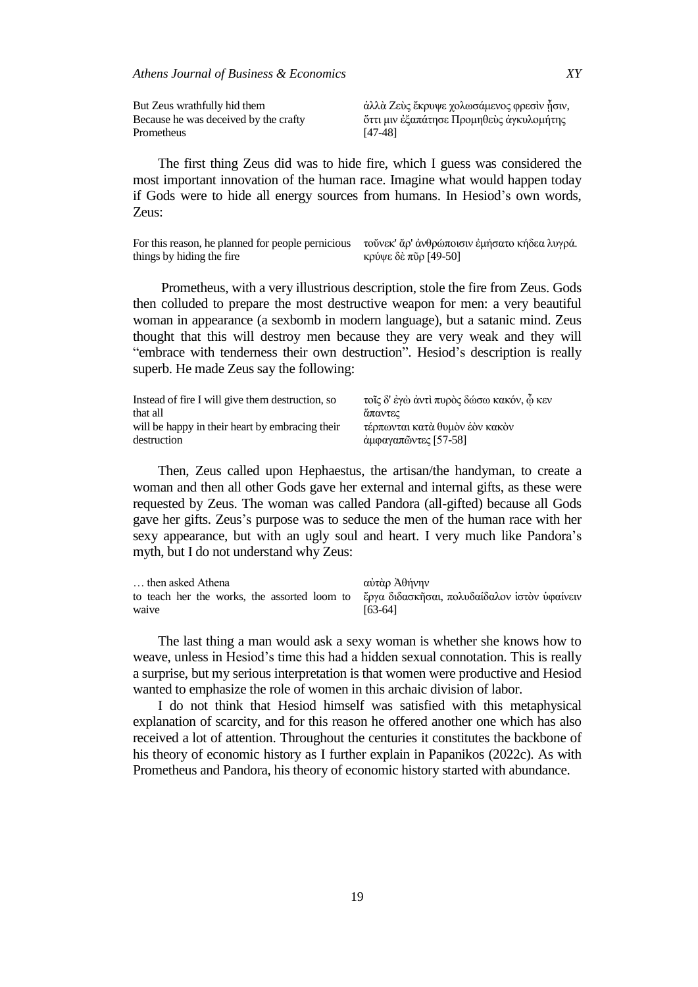| But Zeus wrathfully hid them          | άλλὰ Ζεὺς ἔκρυψε χολωσάμενος φρεσὶν ἦσιν, |
|---------------------------------------|-------------------------------------------|
| Because he was deceived by the crafty | ὄττι μιν ἐξαπάτησε Προμηθεὺς ἀγκυλομήτης  |
| Prometheus                            | [47-48]                                   |

The first thing Zeus did was to hide fire, which I guess was considered the most important innovation of the human race. Imagine what would happen today if Gods were to hide all energy sources from humans. In Hesiod's own words, Zeus:

For this reason, he planned for people pernicious τούνεκ' ἄρ' ἀνθρώποισιν ἐμήσατο κήδεα λυγρά. things by hiding the fire κρύψε δὲ πῦρ [49-50]

Prometheus, with a very illustrious description, stole the fire from Zeus. Gods then colluded to prepare the most destructive weapon for men: a very beautiful woman in appearance (a sexbomb in modern language), but a satanic mind. Zeus thought that this will destroy men because they are very weak and they will "embrace with tenderness their own destruction". Hesiod's description is really superb. He made Zeus say the following:

| Instead of fire I will give them destruction, so | τοῖς δ' ἐγὼ ἀντὶ πυρὸς δώσω κακόν, ὦ κεν |
|--------------------------------------------------|------------------------------------------|
| that all                                         | απαντες                                  |
| will be happy in their heart by embracing their  | τέρπωνται κατὰ θυμὸν ἑὸν κακὸν           |
| destruction                                      | άμφαγαπῶντες [57-58]                     |

Then, Zeus called upon Hephaestus, the artisan/the handyman, to create a woman and then all other Gods gave her external and internal gifts, as these were requested by Zeus. The woman was called Pandora (all-gifted) because all Gods gave her gifts. Zeus's purpose was to seduce the men of the human race with her sexy appearance, but with an ugly soul and heart. I very much like Pandora's myth, but I do not understand why Zeus:

| then asked Athena                                                                         | αὐτὰρ Ἀθήνην |
|-------------------------------------------------------------------------------------------|--------------|
| to teach her the works, the assorted loom to έργα διδασκήσαι, πολυδαίδαλον ίστον ύφαίνειν |              |
| waive                                                                                     | $[63-64]$    |

The last thing a man would ask a sexy woman is whether she knows how to weave, unless in Hesiod's time this had a hidden sexual connotation. This is really a surprise, but my serious interpretation is that women were productive and Hesiod wanted to emphasize the role of women in this archaic division of labor.

I do not think that Hesiod himself was satisfied with this metaphysical explanation of scarcity, and for this reason he offered another one which has also received a lot of attention. Throughout the centuries it constitutes the backbone of his theory of economic history as I further explain in Papanikos (2022c). As with Prometheus and Pandora, his theory of economic history started with abundance.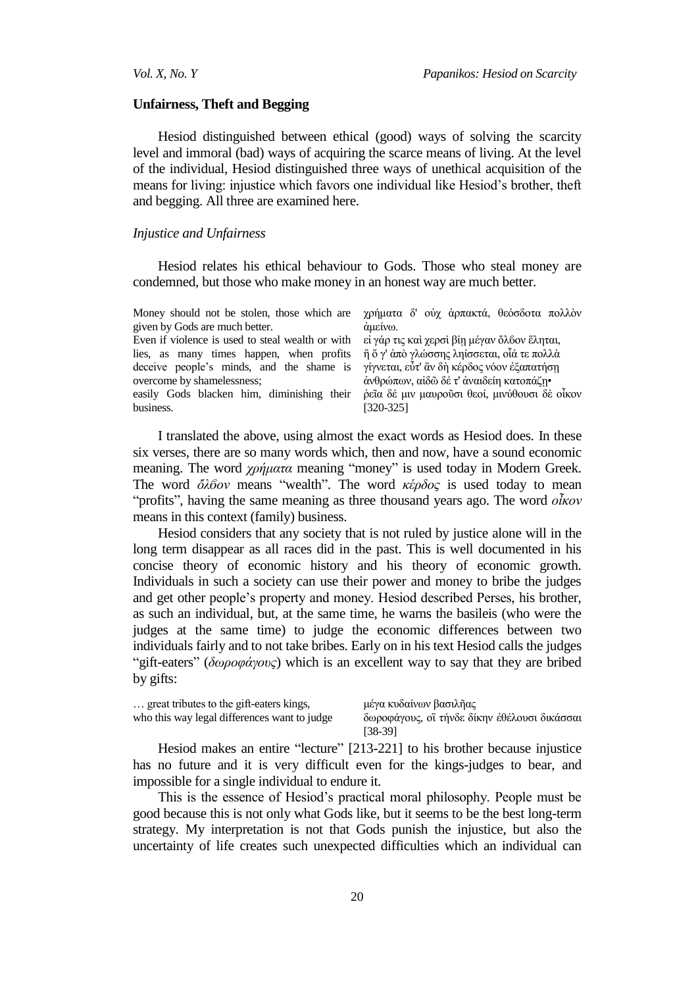#### **Unfairness, Theft and Begging**

Hesiod distinguished between ethical (good) ways of solving the scarcity level and immoral (bad) ways of acquiring the scarce means of living. At the level of the individual, Hesiod distinguished three ways of unethical acquisition of the means for living: injustice which favors one individual like Hesiod's brother, theft and begging. All three are examined here.

#### *Injustice and Unfairness*

Hesiod relates his ethical behaviour to Gods. Those who steal money are condemned, but those who make money in an honest way are much better.

| Money should not be stolen, those which are $\gamma \rho \dot{\rho} \mu \alpha \tau \alpha \delta'$ ov $\dot{\alpha} \rho \pi \alpha \kappa \tau \dot{\alpha}$ , θεόσδοτα πολλόν |                                              |
|----------------------------------------------------------------------------------------------------------------------------------------------------------------------------------|----------------------------------------------|
| given by Gods are much better.                                                                                                                                                   | άμείνω.                                      |
| Even if violence is used to steal wealth or with                                                                                                                                 | εί γάρ τις και χερσι βίη μέγαν ὄλδον ἕληται, |
| lies, as many times happen, when profits                                                                                                                                         | η ὄ γ' ἀπὸ γλώσσης ληίσσεται, οἶά τε πολλὰ   |
| deceive people's minds, and the shame is γίγνεται, εὖτ' ἂν δὴ κέρδος νόον ἐξαπατήσῃ                                                                                              |                                              |
| overcome by shamelessness;                                                                                                                                                       | άνθρώπων, αίδω δέ τ' άναιδείη κατοπάζη•      |
| easily Gods blacken him, diminishing their ρεΐα δέ μιν μαυρούσι θεοί, μινύθουσι δε οἶκον                                                                                         |                                              |
| business.                                                                                                                                                                        | [320-325]                                    |

I translated the above, using almost the exact words as Hesiod does. In these six verses, there are so many words which, then and now, have a sound economic meaning. The word *χρήματα* meaning "money" is used today in Modern Greek. The word *ὄλβον* means "wealth". The word *κέρδος* is used today to mean ―profits‖, having the same meaning as three thousand years ago. The word *οἶκον* means in this context (family) business.

Hesiod considers that any society that is not ruled by justice alone will in the long term disappear as all races did in the past. This is well documented in his concise theory of economic history and his theory of economic growth. Individuals in such a society can use their power and money to bribe the judges and get other people's property and money. Hesiod described Perses, his brother, as such an individual, but, at the same time, he warns the basileis (who were the judges at the same time) to judge the economic differences between two individuals fairly and to not take bribes. Early on in his text Hesiod calls the judges *"gift-eaters" (δωροφάγους)* which is an excellent way to say that they are bribed by gifts:

| great tributes to the gift-eaters kings,     | μέγα κυδαίνων βασιλῆας                       |
|----------------------------------------------|----------------------------------------------|
| who this way legal differences want to judge | δωροφάγους, οι τήνδε δίκην εθέλουσι δικάσσαι |
|                                              | $[38-39]$                                    |

Hesiod makes an entire "lecture" [213-221] to his brother because injustice has no future and it is very difficult even for the kings-judges to bear, and impossible for a single individual to endure it.

This is the essence of Hesiod's practical moral philosophy. People must be good because this is not only what Gods like, but it seems to be the best long-term strategy. My interpretation is not that Gods punish the injustice, but also the uncertainty of life creates such unexpected difficulties which an individual can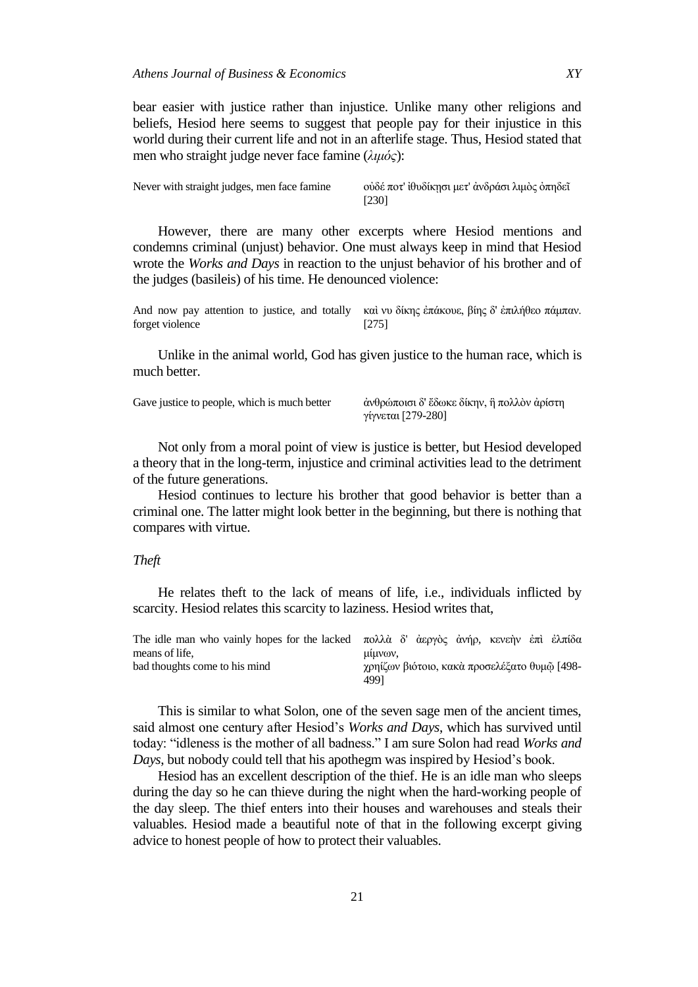bear easier with justice rather than injustice. Unlike many other religions and beliefs, Hesiod here seems to suggest that people pay for their injustice in this world during their current life and not in an afterlife stage. Thus, Hesiod stated that men who straight judge never face famine (*λιμόρ*):

| Never with straight judges, men face famine | ούδέ ποτ' ἱθυδίκησι μετ' ἀνδράσι λιμὸς ὀπηδεῖ |
|---------------------------------------------|-----------------------------------------------|
|                                             | [230]                                         |

However, there are many other excerpts where Hesiod mentions and condemns criminal (unjust) behavior. One must always keep in mind that Hesiod wrote the *Works and Days* in reaction to the unjust behavior of his brother and of the judges (basileis) of his time. He denounced violence:

And now pay attention to justice, and totally και νυ δίκης επάκουε, βίης δ' επιλήθεο πάμπαν. forget violence [275]

Unlike in the animal world, God has given justice to the human race, which is much better.

|  | Gave justice to people, which is much better |
|--|----------------------------------------------|
|--|----------------------------------------------|

άνθρώποισι δ' ἔδωκε δίκην, ἣ πολλὸν ἀρίστη γίγνεται [279-280]

Not only from a moral point of view is justice is better, but Hesiod developed a theory that in the long-term, injustice and criminal activities lead to the detriment of the future generations.

Hesiod continues to lecture his brother that good behavior is better than a criminal one. The latter might look better in the beginning, but there is nothing that compares with virtue.

# *Theft*

He relates theft to the lack of means of life, i.e., individuals inflicted by scarcity. Hesiod relates this scarcity to laziness. Hesiod writes that,

| The idle man who vainly hopes for the lacked πολλά δ' άεργὸς ἀνήρ, κενεὴν ἐπὶ ἐλπίδα |                                                      |
|--------------------------------------------------------------------------------------|------------------------------------------------------|
| means of life.                                                                       | uuvov,                                               |
| bad thoughts come to his mind                                                        | γρηίζων βιότοιο, κακὰ προσελέξατο θυμῶ [498-<br>4991 |

This is similar to what Solon, one of the seven sage men of the ancient times, said almost one century after Hesiod's *Works and Days*, which has survived until today: "idleness is the mother of all badness." I am sure Solon had read *Works and Days*, but nobody could tell that his apothegm was inspired by Hesiod's book.

Hesiod has an excellent description of the thief. He is an idle man who sleeps during the day so he can thieve during the night when the hard-working people of the day sleep. The thief enters into their houses and warehouses and steals their valuables. Hesiod made a beautiful note of that in the following excerpt giving advice to honest people of how to protect their valuables.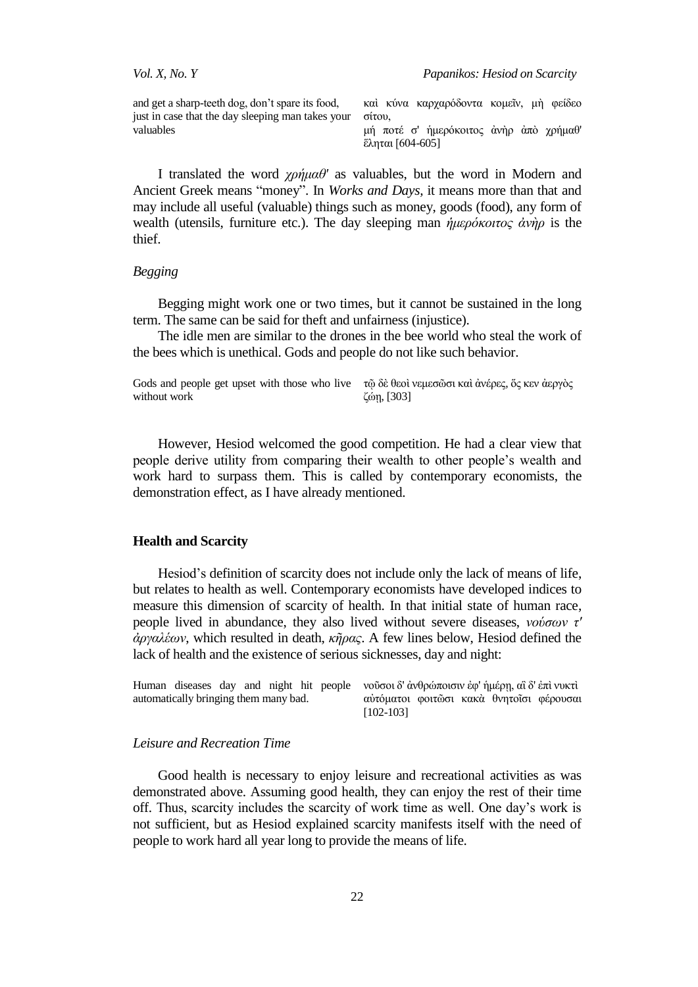and get a sharp-teeth dog, don't spare its food, just in case that the day sleeping man takes your valuables

καὶ κύνα καρχαρόδοντα κομεῖν, μὴ φείδεο σίτου, μή ποτέ σ' ήμερόκοιτος άνηρ άπο χρήμαθ'  $\epsilon$ ληται [604-605]

I translated the word *σπήμαθ'* as valuables, but the word in Modern and Ancient Greek means "money". In *Works and Days*, it means more than that and may include all useful (valuable) things such as money, goods (food), any form of wealth (utensils, furniture etc.). The day sleeping man *ήμερόκοιτος άνὴρ* is the thief.

# *Begging*

Begging might work one or two times, but it cannot be sustained in the long term. The same can be said for theft and unfairness (injustice).

The idle men are similar to the drones in the bee world who steal the work of the bees which is unethical. Gods and people do not like such behavior.

Gods and people get upset with those who live τῷ δὲ θεοὶ νεμεσῶσι καὶ ἀνέρες, ὅς κεν ἀεργὸς without work δώῃ, [303]

However, Hesiod welcomed the good competition. He had a clear view that people derive utility from comparing their wealth to other people's wealth and work hard to surpass them. This is called by contemporary economists, the demonstration effect, as I have already mentioned.

### **Health and Scarcity**

Hesiod's definition of scarcity does not include only the lack of means of life, but relates to health as well. Contemporary economists have developed indices to measure this dimension of scarcity of health. In that initial state of human race, people lived in abundance, they also lived without severe diseases, *νούζων η' ἀπγαλέων*, which resulted in death, *κῆπαρ*. A few lines below, Hesiod defined the lack of health and the existence of serious sicknesses, day and night:

|                                       |  |  |  |  |                                          |  | Human diseases day and night hit people νοῦσοιδ' ἀνθρώποισιν ἐφ' ἡμέρη, αἳδ' ἐπὶ νυκτὶ |  |  |
|---------------------------------------|--|--|--|--|------------------------------------------|--|----------------------------------------------------------------------------------------|--|--|
| automatically bringing them many bad. |  |  |  |  | αύτόματοι φοιτῶσι κακὰ θνητοῖσι φέρουσαι |  |                                                                                        |  |  |
|                                       |  |  |  |  | $[102-103]$                              |  |                                                                                        |  |  |

### *Leisure and Recreation Time*

Good health is necessary to enjoy leisure and recreational activities as was demonstrated above. Assuming good health, they can enjoy the rest of their time off. Thus, scarcity includes the scarcity of work time as well. One day's work is not sufficient, but as Hesiod explained scarcity manifests itself with the need of people to work hard all year long to provide the means of life.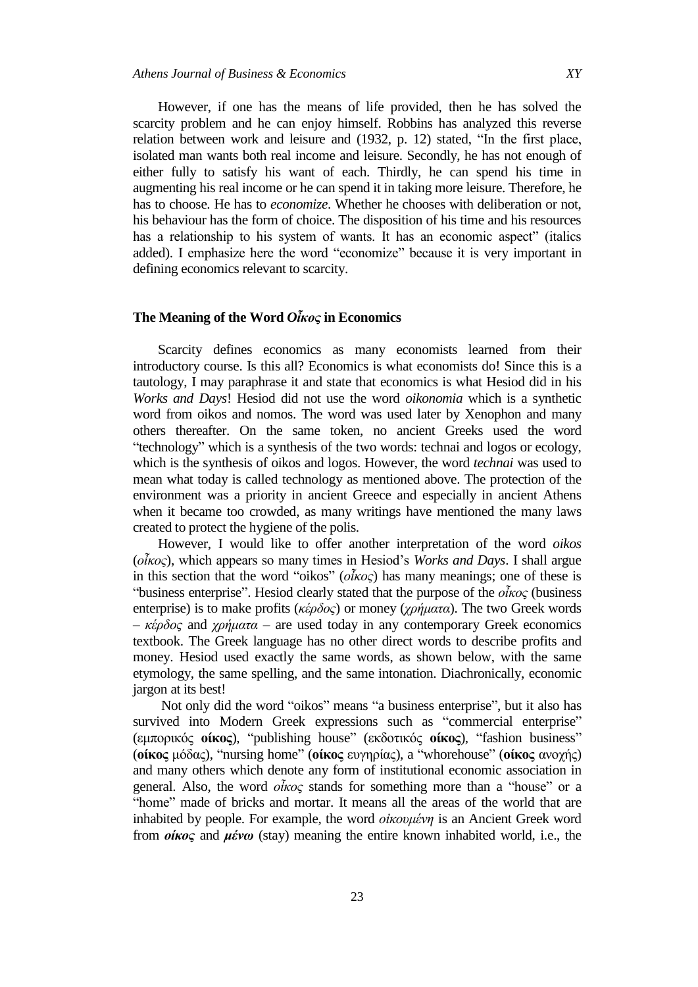However, if one has the means of life provided, then he has solved the scarcity problem and he can enjoy himself. Robbins has analyzed this reverse relation between work and leisure and  $(1932, p. 12)$  stated, "In the first place, isolated man wants both real income and leisure. Secondly, he has not enough of either fully to satisfy his want of each. Thirdly, he can spend his time in augmenting his real income or he can spend it in taking more leisure. Therefore, he has to choose. He has to *economize*. Whether he chooses with deliberation or not, his behaviour has the form of choice. The disposition of his time and his resources has a relationship to his system of wants. It has an economic aspect" (italics added). I emphasize here the word "economize" because it is very important in defining economics relevant to scarcity.

# **The Meaning of the Word** *Oἶκος* **in Economics**

Scarcity defines economics as many economists learned from their introductory course. Is this all? Economics is what economists do! Since this is a tautology, I may paraphrase it and state that economics is what Hesiod did in his *Works and Days*! Hesiod did not use the word *oikonomia* which is a synthetic word from oikos and nomos. The word was used later by Xenophon and many others thereafter. On the same token, no ancient Greeks used the word ―technology‖ which is a synthesis of the two words: technai and logos or ecology, which is the synthesis of oikos and logos. However, the word *technai* was used to mean what today is called technology as mentioned above. The protection of the environment was a priority in ancient Greece and especially in ancient Athens when it became too crowded, as many writings have mentioned the many laws created to protect the hygiene of the polis.

However, I would like to offer another interpretation of the word *oikos* (*οἶκορ*), which appears so many times in Hesiod's *Works and Days*. I shall argue in this section that the word "oikos" ( $\partial \tilde{k} \alpha$ ) has many meanings; one of these is *"business enterprise".* Hesiod clearly stated that the purpose of the *οἶκος* (business enterprise) is to make profits (*κέρδος*) or money (*χρήματα*). The two Greek words  $-$  *κέρδος* and *χρήματα* – are used today in any contemporary Greek economics textbook. The Greek language has no other direct words to describe profits and money. Hesiod used exactly the same words, as shown below, with the same etymology, the same spelling, and the same intonation. Diachronically, economic jargon at its best!

Not only did the word "oikos" means "a business enterprise", but it also has survived into Modern Greek expressions such as "commercial enterprise" (εμπορικός **οίκος**), "publishing house" (εκδοτικός **οίκος**), "fashion business" (**οίκος** μόδας), "nursing home" (**οίκος** ευγηρίας), a "whorehouse" (**οίκος** ανογής) and many others which denote any form of institutional economic association in general. Also, the word *οἶκος* stands for something more than a "house" or a "home" made of bricks and mortar. It means all the areas of the world that are inhabited by people. For example, the word *οικουμένη* is an Ancient Greek word from *οίκος* and *μένω* (stay) meaning the entire known inhabited world, i.e., the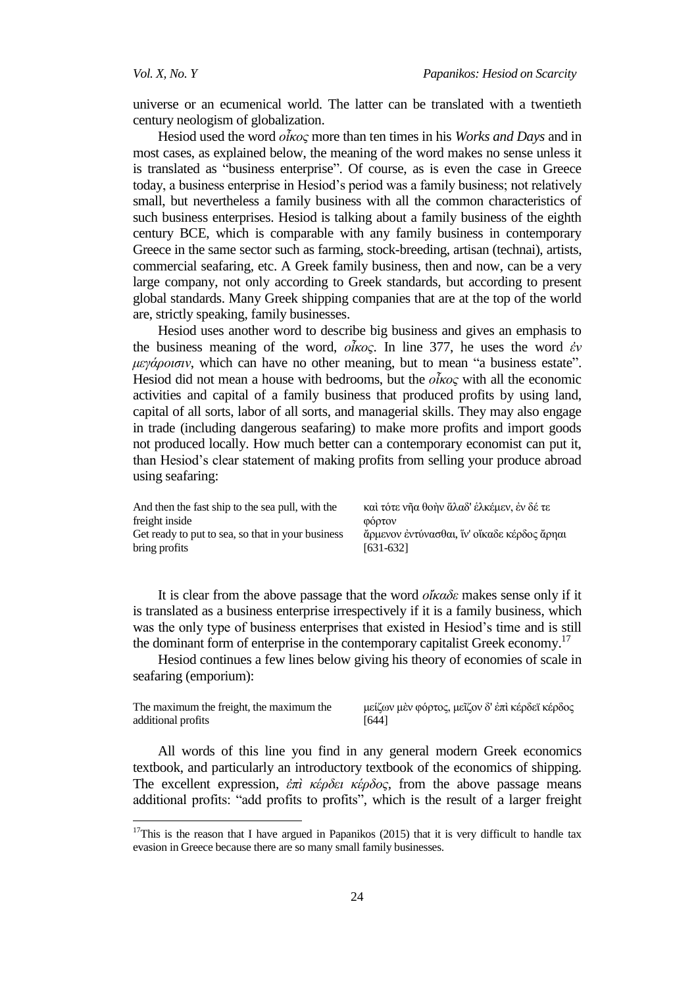universe or an ecumenical world. The latter can be translated with a twentieth century neologism of globalization.

Hesiod used the word *οἶκορ* more than ten times in his *Works and Days* and in most cases, as explained below, the meaning of the word makes no sense unless it is translated as "business enterprise". Of course, as is even the case in Greece today, a business enterprise in Hesiod's period was a family business; not relatively small, but nevertheless a family business with all the common characteristics of such business enterprises. Hesiod is talking about a family business of the eighth century BCE, which is comparable with any family business in contemporary Greece in the same sector such as farming, stock-breeding, artisan (technai), artists, commercial seafaring, etc. A Greek family business, then and now, can be a very large company, not only according to Greek standards, but according to present global standards. Many Greek shipping companies that are at the top of the world are, strictly speaking, family businesses.

Hesiod uses another word to describe big business and gives an emphasis to the business meaning of the word, *οἶκορ*. In line 377, he uses the word *ἐν*  μεγάροισιν, which can have no other meaning, but to mean "a business estate". Hesiod did not mean a house with bedrooms, but the *οἶκος* with all the economic activities and capital of a family business that produced profits by using land, capital of all sorts, labor of all sorts, and managerial skills. They may also engage in trade (including dangerous seafaring) to make more profits and import goods not produced locally. How much better can a contemporary economist can put it, than Hesiod's clear statement of making profits from selling your produce abroad using seafaring:

| And then the fast ship to the sea pull, with the  | καὶ τότε νῆα θοὴν ἄλαδ' ἑλκέμεν, ἐν δέ τε   |
|---------------------------------------------------|---------------------------------------------|
| freight inside                                    | ΦΟρτον                                      |
| Get ready to put to sea, so that in your business | άρμενον έντύνασθαι, ίν' οίκαδε κέρδος άρηαι |
| bring profits                                     | $[631-632]$                                 |

It is clear from the above passage that the word *οἴκαδε* makes sense only if it is translated as a business enterprise irrespectively if it is a family business, which was the only type of business enterprises that existed in Hesiod's time and is still the dominant form of enterprise in the contemporary capitalist Greek economy.<sup>17</sup>

Hesiod continues a few lines below giving his theory of economies of scale in seafaring (emporium):

The maximum the freight, the maximum the additional profits

 $\overline{a}$ 

μείζων μὲν φόρτος, μεῖζον δ' ἐπὶ κέρδεϊ κέρδος [644]

All words of this line you find in any general modern Greek economics textbook, and particularly an introductory textbook of the economics of shipping. The excellent expression,  $\frac{\partial \pi i}{\partial \theta}$  *κέρδος*, from the above passage means additional profits: "add profits to profits", which is the result of a larger freight

 $17$ This is the reason that I have argued in Papanikos (2015) that it is very difficult to handle tax evasion in Greece because there are so many small family businesses.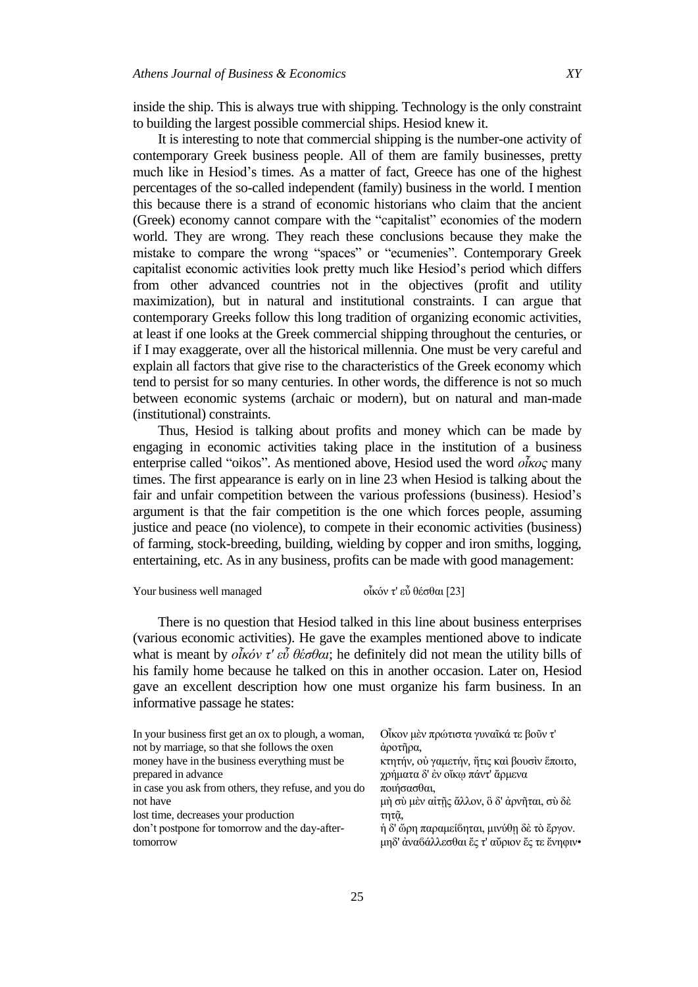inside the ship. This is always true with shipping. Technology is the only constraint to building the largest possible commercial ships. Hesiod knew it.

It is interesting to note that commercial shipping is the number-one activity of contemporary Greek business people. All of them are family businesses, pretty much like in Hesiod's times. As a matter of fact, Greece has one of the highest percentages of the so-called independent (family) business in the world. I mention this because there is a strand of economic historians who claim that the ancient (Greek) economy cannot compare with the "capitalist" economies of the modern world. They are wrong. They reach these conclusions because they make the mistake to compare the wrong "spaces" or "ecumenies". Contemporary Greek capitalist economic activities look pretty much like Hesiod's period which differs from other advanced countries not in the objectives (profit and utility maximization), but in natural and institutional constraints. I can argue that contemporary Greeks follow this long tradition of organizing economic activities, at least if one looks at the Greek commercial shipping throughout the centuries, or if I may exaggerate, over all the historical millennia. One must be very careful and explain all factors that give rise to the characteristics of the Greek economy which tend to persist for so many centuries. In other words, the difference is not so much between economic systems (archaic or modern), but on natural and man-made (institutional) constraints.

Thus, Hesiod is talking about profits and money which can be made by engaging in economic activities taking place in the institution of a business enterprise called "oikos". As mentioned above, Hesiod used the word *οἶκος* many times. The first appearance is early on in line 23 when Hesiod is talking about the fair and unfair competition between the various professions (business). Hesiod's argument is that the fair competition is the one which forces people, assuming justice and peace (no violence), to compete in their economic activities (business) of farming, stock-breeding, building, wielding by copper and iron smiths, logging, entertaining, etc. As in any business, profits can be made with good management:

|  |  |  | Your business well managed |
|--|--|--|----------------------------|
|--|--|--|----------------------------|

οἶκόν τ' εὖ θέσθαι [23]

There is no question that Hesiod talked in this line about business enterprises (various economic activities). He gave the examples mentioned above to indicate what is meant by  $\partial \tilde{k} \phi \partial \tilde{k} \partial \phi \partial \tilde{k}$ ; he definitely did not mean the utility bills of his family home because he talked on this in another occasion. Later on, Hesiod gave an excellent description how one must organize his farm business. In an informative passage he states:

| In your business first get an ox to plough, a woman, | Οἶκον μὲν πρώτιστα γυναῖκά τε βοῦν τ'        |
|------------------------------------------------------|----------------------------------------------|
| not by marriage, so that she follows the oxen        | άροτῆρα,                                     |
| money have in the business everything must be        | κτητήν, ού γαμετήν, ήτις και βουσιν έποιτο,  |
| prepared in advance                                  | χρήματα δ' έν οἴκω πάντ' ἄρμενα              |
| in case you ask from others, they refuse, and you do | ποιήσασθαι,                                  |
| not have                                             | μή σύ μεν αίτης άλλον, ὃ δ' άρνηται, σύ δε   |
| lost time, decreases your production                 | τητά,                                        |
| don't postpone for tomorrow and the day-after-       | η δ' ὥρη παραμεί ηται, μινύθη δε το έργον.   |
| tomorrow                                             | μηδ' άναδάλλεσθαι ές τ' αύριον ές τε ένηφιν• |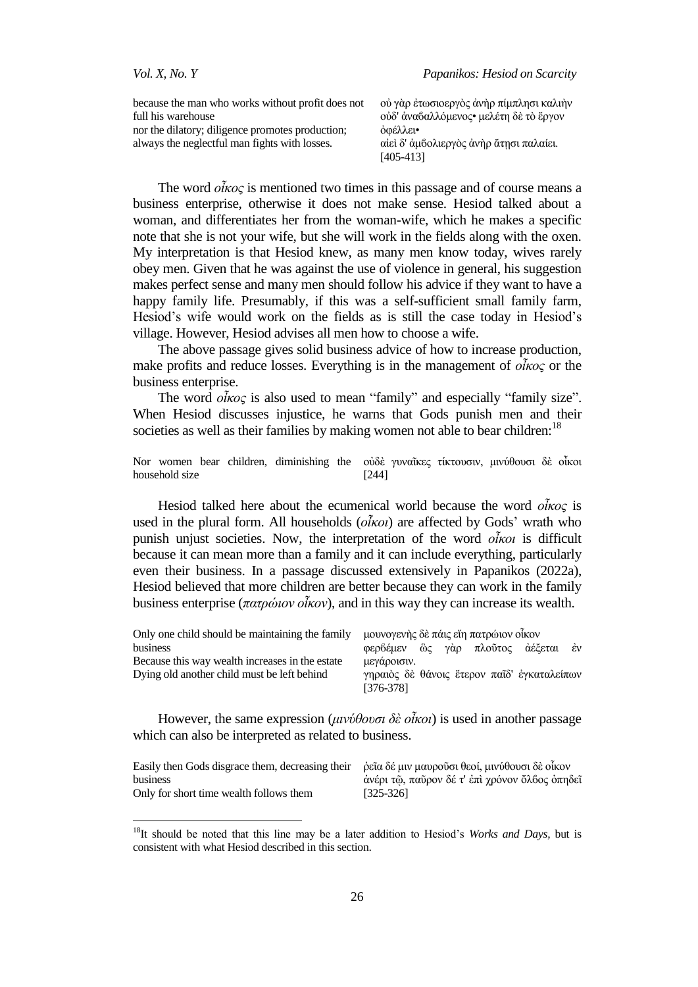$\overline{a}$ 

| because the man who works without profit does not |
|---------------------------------------------------|
| full his warehouse                                |
| nor the dilatory; diligence promotes production;  |
| always the neglectful man fights with losses.     |

ού γὰρ ἐτωσιοεργὸς ἀνὴρ πίμπλησι καλιὴν ούδ' άναδαλλόμενος• μελέτη δε το έργον όφέλλει• αίει δ' άμβολιεργὸς ἀνὴρ ἄτησι παλαίει. [405-413]

The word *οἶκορ* is mentioned two times in this passage and of course means a business enterprise, otherwise it does not make sense. Hesiod talked about a woman, and differentiates her from the woman-wife, which he makes a specific note that she is not your wife, but she will work in the fields along with the oxen. My interpretation is that Hesiod knew, as many men know today, wives rarely obey men. Given that he was against the use of violence in general, his suggestion makes perfect sense and many men should follow his advice if they want to have a happy family life. Presumably, if this was a self-sufficient small family farm, Hesiod's wife would work on the fields as is still the case today in Hesiod's village. However, Hesiod advises all men how to choose a wife.

The above passage gives solid business advice of how to increase production, make profits and reduce losses. Everything is in the management of *οἶκορ* or the business enterprise.

The word *οἶκος* is also used to mean "family" and especially "family size". When Hesiod discusses injustice, he warns that Gods punish men and their societies as well as their families by making women not able to bear children:<sup>18</sup>

|                |  | Nor women bear children, diminishing the ούδε γυναΐκες τίκτουσιν, μινύθουσι δε οίκοι |       |  |  |  |
|----------------|--|--------------------------------------------------------------------------------------|-------|--|--|--|
| household size |  |                                                                                      | [244] |  |  |  |

Hesiod talked here about the ecumenical world because the word *οἶκορ* is used in the plural form. All households (*οἶκοι*) are affected by Gods' wrath who punish unjust societies. Now, the interpretation of the word *οἶκοι* is difficult because it can mean more than a family and it can include everything, particularly even their business. In a passage discussed extensively in Papanikos (2022a), Hesiod believed that more children are better because they can work in the family business enterprise ( $\pi \alpha \tau \rho \omega \nu \partial \dot{k} \omega \nu$ ), and in this way they can increase its wealth.

| Only one child should be maintaining the family | μουνογενής δε πάις εἴη πατρώιον οἶκον                    |
|-------------------------------------------------|----------------------------------------------------------|
| business                                        | φερδέμεν ὣς γὰρ πλοῦτος ἀέξεται ἐν                       |
| Because this way wealth increases in the estate | μεγάροισιν.                                              |
| Dying old another child must be left behind     | γηραιὸς δὲ θάνοις ἕτερον παῖδ' ἐγκαταλείπων<br>[376-378] |
|                                                 |                                                          |

However, the same expression ( $\mu\nu\psi\theta\omega\sigma\partial\phi\partial\tilde{\chi}\omega$ ) is used in another passage which can also be interpreted as related to business.

| Easily then Gods disgrace them, decreasing their $\dot{\rho}$ εῖα δέ μιν μαυροῦσι θεοί, μινύθουσι δὲ οἶκον |                                                |
|------------------------------------------------------------------------------------------------------------|------------------------------------------------|
| business                                                                                                   | άνέρι τῷ, παῦρον δέ τ' ἐπὶ χρόνον ὄλ6ος ὀπηδεῖ |
| Only for short time wealth follows them                                                                    | $[325 - 326]$                                  |

<sup>18</sup>It should be noted that this line may be a later addition to Hesiod's *Works and Days,* but is consistent with what Hesiod described in this section.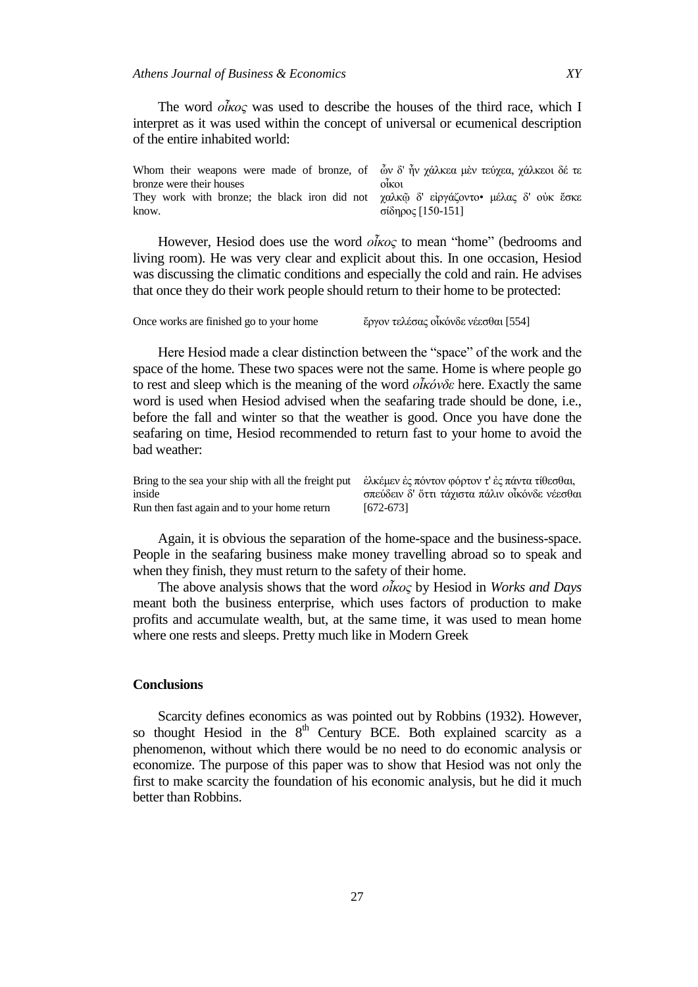The word *οἶκορ* was used to describe the houses of the third race, which I interpret as it was used within the concept of universal or ecumenical description of the entire inhabited world:

| Whom their weapons were made of bronze, of $\phi$ $\phi$ $\gamma$ $\phi$ $\chi$ $\phi$ $\chi$ $\alpha$ $\chi$ $\alpha$ $\chi$ $\alpha$ $\chi$ $\chi$ $\alpha$ $\chi$ $\chi$ $\alpha$ $\chi$ $\alpha$ $\chi$ $\alpha$ $\chi$ $\alpha$ $\chi$ $\alpha$ $\chi$ $\alpha$ $\chi$ $\alpha$ $\chi$ $\alpha$ $\chi$ $\alpha$ $\chi$ $\$ |                   |
|---------------------------------------------------------------------------------------------------------------------------------------------------------------------------------------------------------------------------------------------------------------------------------------------------------------------------------|-------------------|
| bronze were their houses                                                                                                                                                                                                                                                                                                        | OIKOL             |
| They work with bronze; the black iron did not χαλκ $\tilde{\omega}$ δ' ειργάζοντο μέλας δ' ούκ έσκε<br>know.                                                                                                                                                                                                                    | σίδηρος [150-151] |

However, Hesiod does use the word *οἶκος* to mean "home" (bedrooms and living room). He was very clear and explicit about this. In one occasion, Hesiod was discussing the climatic conditions and especially the cold and rain. He advises that once they do their work people should return to their home to be protected:

| Once works are finished go to your home |  | ἔργον τελέσας οἶκόνδε νέεσθαι [554] |
|-----------------------------------------|--|-------------------------------------|
|                                         |  |                                     |

Here Hesiod made a clear distinction between the "space" of the work and the space of the home. These two spaces were not the same. Home is where people go to rest and sleep which is the meaning of the word *οἶκόνδε* here. Exactly the same word is used when Hesiod advised when the seafaring trade should be done, i.e., before the fall and winter so that the weather is good. Once you have done the seafaring on time, Hesiod recommended to return fast to your home to avoid the bad weather:

| Bring to the sea your ship with all the freight put ελκέμεν ες πόντον φόρτον τ' ες πάντα τίθεσθαι, |                                                |
|----------------------------------------------------------------------------------------------------|------------------------------------------------|
| inside                                                                                             | σπεύδειν δ' ὄττι τάχιστα πάλιν οἶκόνδε νέεσθαι |
| Run then fast again and to your home return                                                        | [672-673]                                      |

Again, it is obvious the separation of the home-space and the business-space. People in the seafaring business make money travelling abroad so to speak and when they finish, they must return to the safety of their home.

The above analysis shows that the word *οἶκορ* by Hesiod in *Works and Days* meant both the business enterprise, which uses factors of production to make profits and accumulate wealth, but, at the same time, it was used to mean home where one rests and sleeps. Pretty much like in Modern Greek

## **Conclusions**

Scarcity defines economics as was pointed out by Robbins (1932). However, so thought Hesiod in the  $8<sup>th</sup>$  Century BCE. Both explained scarcity as a phenomenon, without which there would be no need to do economic analysis or economize. The purpose of this paper was to show that Hesiod was not only the first to make scarcity the foundation of his economic analysis, but he did it much better than Robbins.